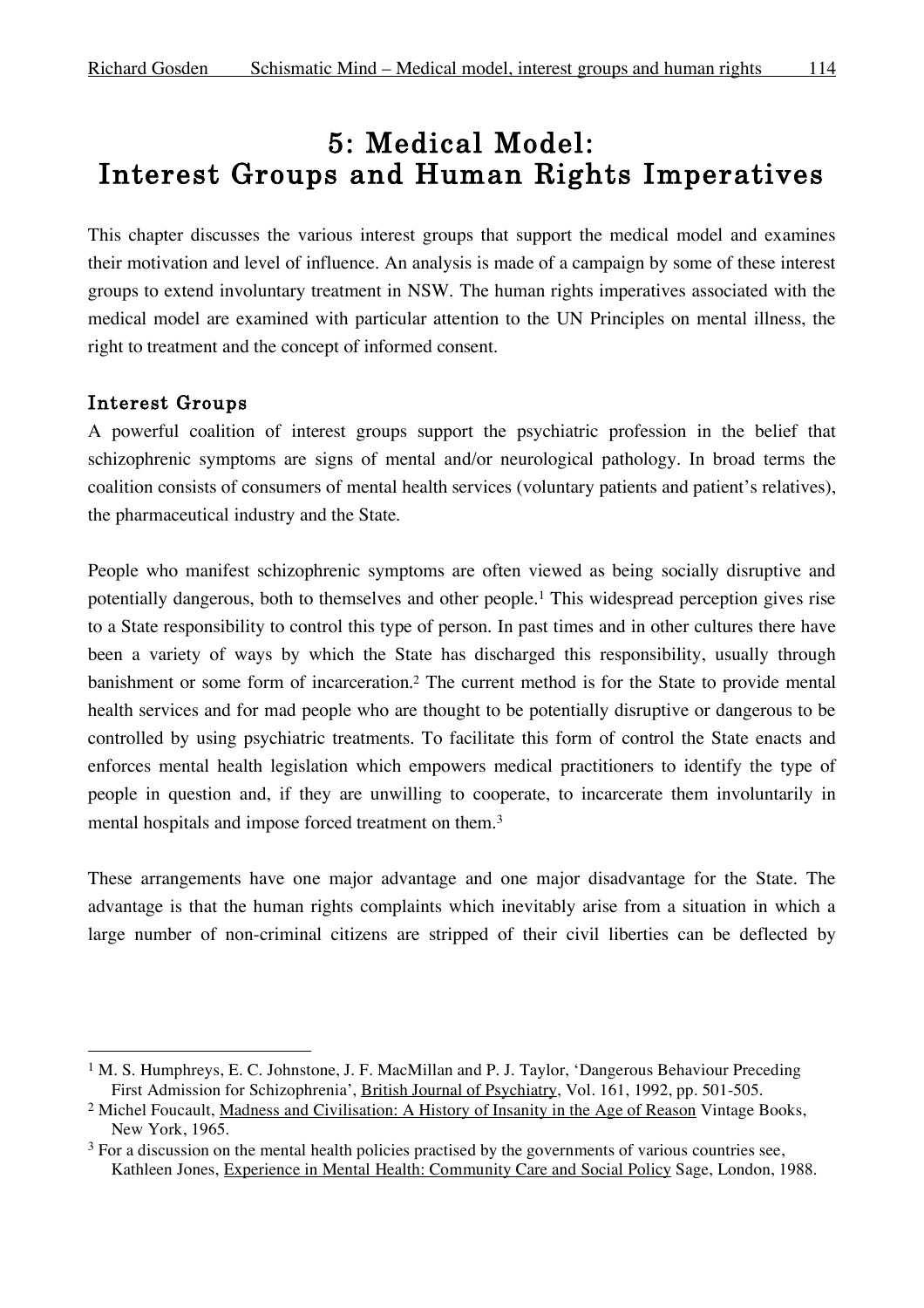# 5: Medical Model: Interest Groups and Human Rights Imperatives

This chapter discusses the various interest groups that support the medical model and examines their motivation and level of influence. An analysis is made of a campaign by some of these interest groups to extend involuntary treatment in NSW. The human rights imperatives associated with the medical model are examined with particular attention to the UN Principles on mental illness, the right to treatment and the concept of informed consent.

## Interest Groups

A powerful coalition of interest groups support the psychiatric profession in the belief that schizophrenic symptoms are signs of mental and/or neurological pathology. In broad terms the coalition consists of consumers of mental health services (voluntary patients and patient's relatives), the pharmaceutical industry and the State.

People who manifest schizophrenic symptoms are often viewed as being socially disruptive and potentially dangerous, both to themselves and other people. <sup>1</sup> This widespread perception gives rise to a State responsibility to control this type of person. In past times and in other cultures there have been a variety of ways by which the State has discharged this responsibility, usually through banishment or some form of incarceration. <sup>2</sup> The current method is for the State to provide mental health services and for mad people who are thought to be potentially disruptive or dangerous to be controlled by using psychiatric treatments. To facilitate this form of control the State enacts and enforces mental health legislation which empowers medical practitioners to identify the type of people in question and, if they are unwilling to cooperate, to incarcerate them involuntarily in mental hospitals and impose forced treatment on them.<sup>3</sup>

These arrangements have one major advantage and one major disadvantage for the State. The advantage is that the human rights complaints which inevitably arise from a situation in which a large number of non-criminal citizens are stripped of their civil liberties can be deflected by

<sup>&</sup>lt;sup>1</sup> M. S. Humphreys, E. C. Johnstone, J. F. MacMillan and P. J. Taylor, 'Dangerous Behaviour Preceding First Admission for Schizophrenia', British Journal of Psychiatry, Vol. 161, 1992, pp. 501-505.

<sup>2</sup> Michel Foucault, Madness and Civilisation: A History of Insanity in the Age of Reason Vintage Books, New York, 1965.

 $3$  For a discussion on the mental health policies practised by the governments of various countries see, Kathleen Jones, Experience in Mental Health: Community Care and Social Policy Sage, London, 1988.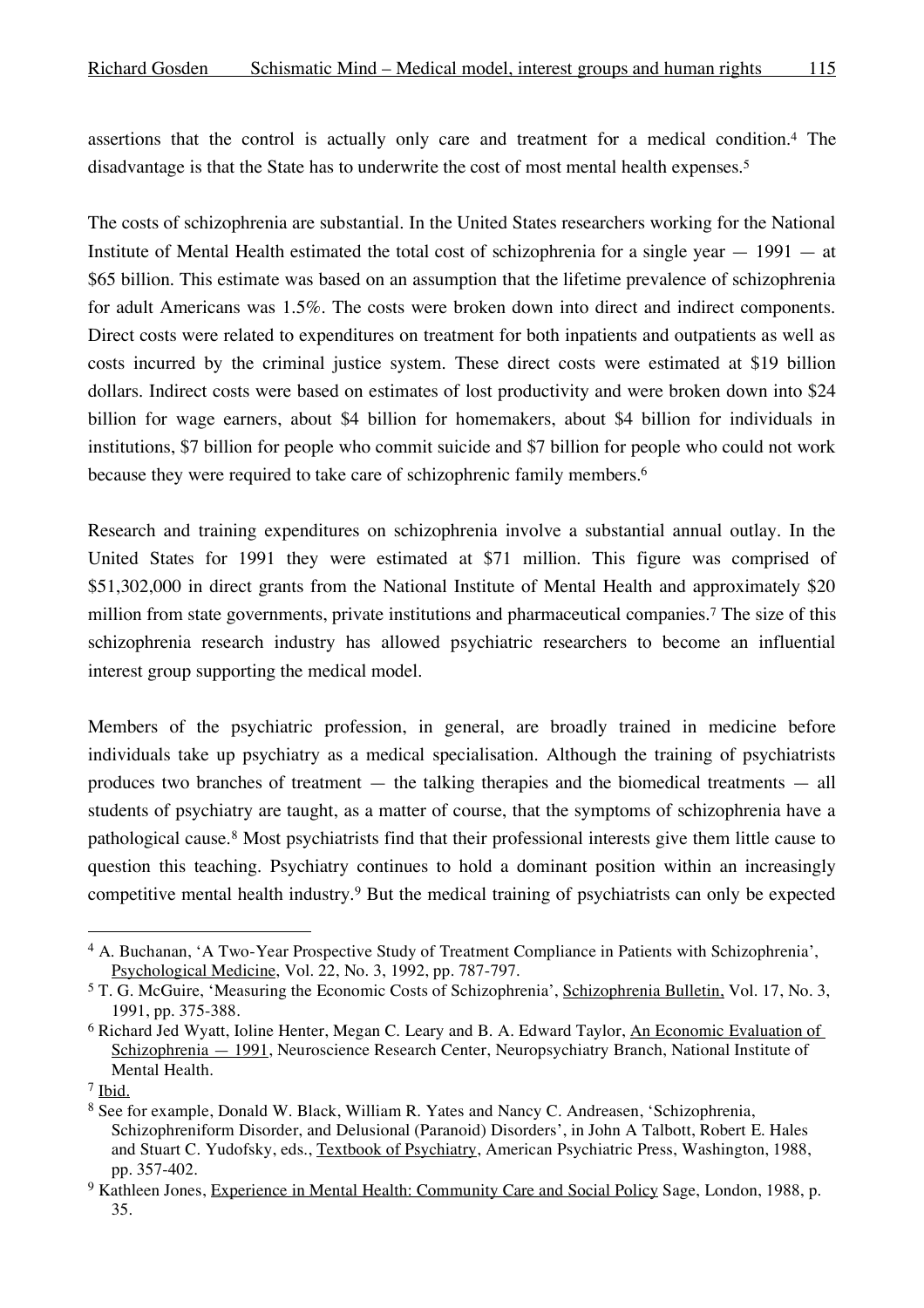assertions that the control is actually only care and treatment for a medical condition.<sup>4</sup> The disadvantage is that the State has to underwrite the cost of most mental health expenses.<sup>5</sup>

The costs of schizophrenia are substantial. In the United States researchers working for the National Institute of Mental Health estimated the total cost of schizophrenia for a single year — 1991 — at \$65 billion. This estimate was based on an assumption that the lifetime prevalence of schizophrenia for adult Americans was 1.5%. The costs were broken down into direct and indirect components. Direct costs were related to expenditures on treatment for both inpatients and outpatients as well as costs incurred by the criminal justice system. These direct costs were estimated at \$19 billion dollars. Indirect costs were based on estimates of lost productivity and were broken down into \$24 billion for wage earners, about \$4 billion for homemakers, about \$4 billion for individuals in institutions, \$7 billion for people who commit suicide and \$7 billion for people who could not work because they were required to take care of schizophrenic family members. 6

Research and training expenditures on schizophrenia involve a substantial annual outlay. In the United States for 1991 they were estimated at \$71 million. This figure was comprised of \$51,302,000 in direct grants from the National Institute of Mental Health and approximately \$20 million from state governments, private institutions and pharmaceutical companies.7 The size of this schizophrenia research industry has allowed psychiatric researchers to become an influential interest group supporting the medical model.

Members of the psychiatric profession, in general, are broadly trained in medicine before individuals take up psychiatry as a medical specialisation. Although the training of psychiatrists produces two branches of treatment — the talking therapies and the biomedical treatments — all students of psychiatry are taught, as a matter of course, that the symptoms of schizophrenia have a pathological cause.8 Most psychiatrists find that their professional interests give them little cause to question this teaching. Psychiatry continues to hold a dominant position within an increasingly competitive mental health industry.9 But the medical training of psychiatrists can only be expected

 <sup>4</sup> A. Buchanan, 'A Two-Year Prospective Study of Treatment Compliance in Patients with Schizophrenia', Psychological Medicine, Vol. 22, No. 3, 1992, pp. 787-797.

<sup>5</sup> T. G. McGuire, 'Measuring the Economic Costs of Schizophrenia', Schizophrenia Bulletin, Vol. 17, No. 3, 1991, pp. 375-388.

<sup>6</sup> Richard Jed Wyatt, Ioline Henter, Megan C. Leary and B. A. Edward Taylor, An Economic Evaluation of Schizophrenia — 1991, Neuroscience Research Center, Neuropsychiatry Branch, National Institute of Mental Health.

<sup>7</sup> Ibid.

<sup>8</sup> See for example, Donald W. Black, William R. Yates and Nancy C. Andreasen, 'Schizophrenia, Schizophreniform Disorder, and Delusional (Paranoid) Disorders', in John A Talbott, Robert E. Hales and Stuart C. Yudofsky, eds., Textbook of Psychiatry, American Psychiatric Press, Washington, 1988, pp. 357-402.

<sup>&</sup>lt;sup>9</sup> Kathleen Jones, Experience in Mental Health: Community Care and Social Policy Sage, London, 1988, p. 35.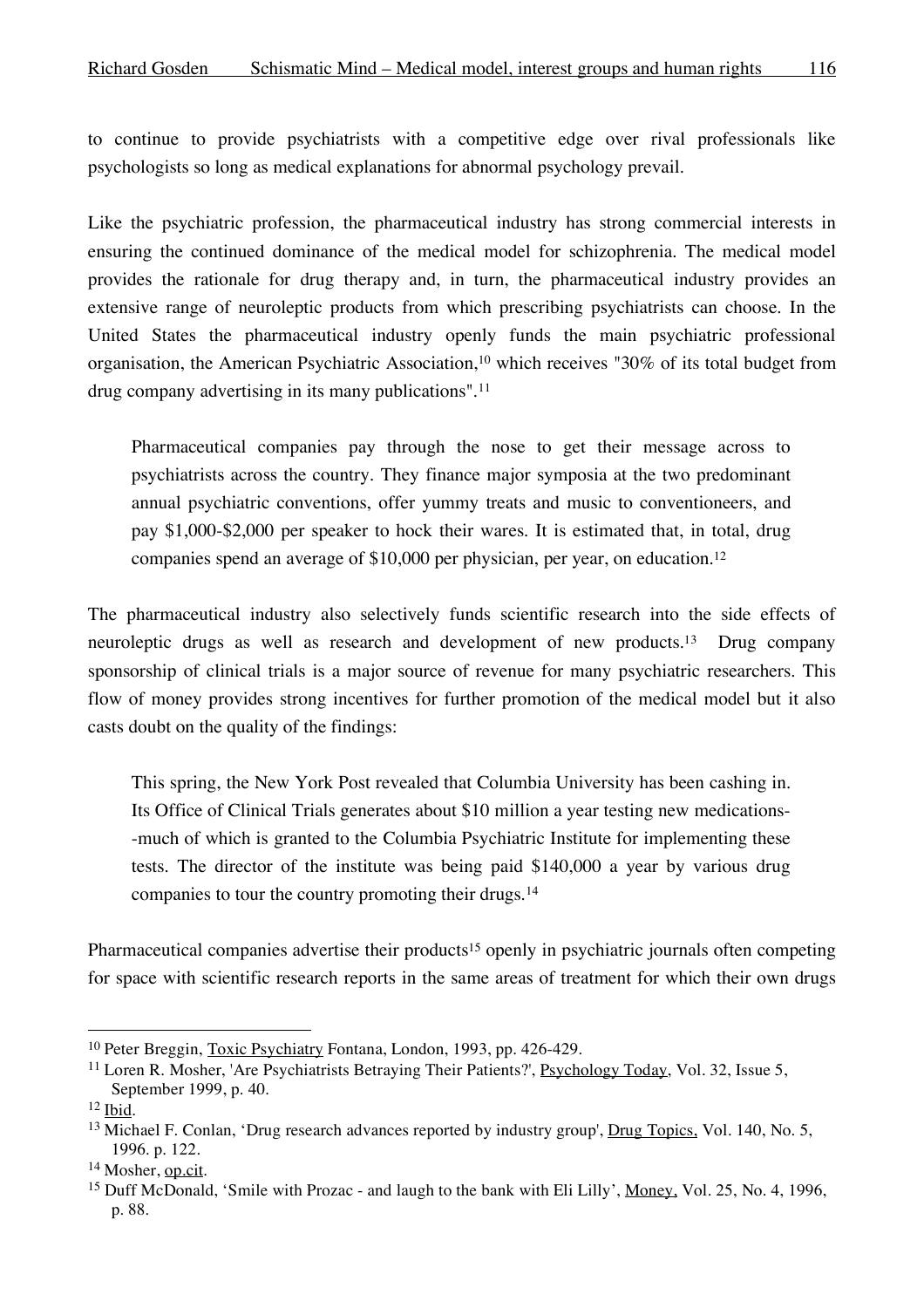to continue to provide psychiatrists with a competitive edge over rival professionals like psychologists so long as medical explanations for abnormal psychology prevail.

Like the psychiatric profession, the pharmaceutical industry has strong commercial interests in ensuring the continued dominance of the medical model for schizophrenia. The medical model provides the rationale for drug therapy and, in turn, the pharmaceutical industry provides an extensive range of neuroleptic products from which prescribing psychiatrists can choose. In the United States the pharmaceutical industry openly funds the main psychiatric professional organisation, the American Psychiatric Association,<sup>10</sup> which receives "30% of its total budget from drug company advertising in its many publications". 11

Pharmaceutical companies pay through the nose to get their message across to psychiatrists across the country. They finance major symposia at the two predominant annual psychiatric conventions, offer yummy treats and music to conventioneers, and pay \$1,000-\$2,000 per speaker to hock their wares. It is estimated that, in total, drug companies spend an average of \$10,000 per physician, per year, on education.12

The pharmaceutical industry also selectively funds scientific research into the side effects of neuroleptic drugs as well as research and development of new products.<sup>13</sup> Drug company sponsorship of clinical trials is a major source of revenue for many psychiatric researchers. This flow of money provides strong incentives for further promotion of the medical model but it also casts doubt on the quality of the findings:

This spring, the New York Post revealed that Columbia University has been cashing in. Its Office of Clinical Trials generates about \$10 million a year testing new medications- -much of which is granted to the Columbia Psychiatric Institute for implementing these tests. The director of the institute was being paid \$140,000 a year by various drug companies to tour the country promoting their drugs.14

Pharmaceutical companies advertise their products<sup>15</sup> openly in psychiatric journals often competing for space with scientific research reports in the same areas of treatment for which their own drugs

 <sup>10</sup> Peter Breggin, Toxic Psychiatry Fontana, London, 1993, pp. 426-429.

<sup>11</sup> Loren R. Mosher, 'Are Psychiatrists Betraying Their Patients?', Psychology Today, Vol. 32, Issue 5, September 1999, p. 40.

<sup>12</sup> Ibid.

<sup>&</sup>lt;sup>13</sup> Michael F. Conlan, 'Drug research advances reported by industry group', <u>Drug Topics,</u> Vol. 140, No. 5, 1996. p. 122.

<sup>&</sup>lt;sup>14</sup> Mosher, op.cit.

<sup>&</sup>lt;sup>15</sup> Duff McDonald, 'Smile with Prozac - and laugh to the bank with Eli Lilly', Money, Vol. 25, No. 4, 1996, p. 88.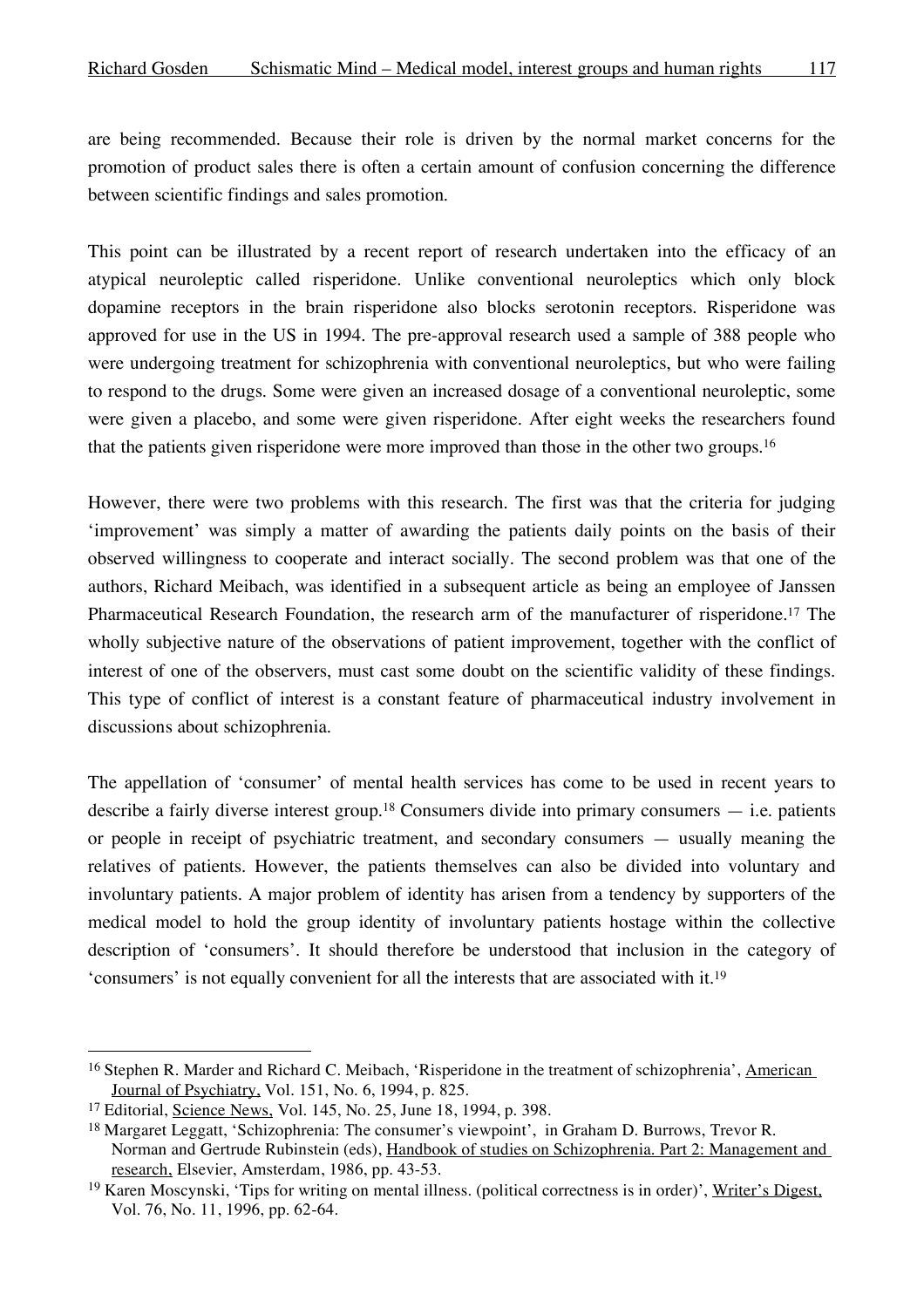are being recommended. Because their role is driven by the normal market concerns for the promotion of product sales there is often a certain amount of confusion concerning the difference between scientific findings and sales promotion.

This point can be illustrated by a recent report of research undertaken into the efficacy of an atypical neuroleptic called risperidone. Unlike conventional neuroleptics which only block dopamine receptors in the brain risperidone also blocks serotonin receptors. Risperidone was approved for use in the US in 1994. The pre-approval research used a sample of 388 people who were undergoing treatment for schizophrenia with conventional neuroleptics, but who were failing to respond to the drugs. Some were given an increased dosage of a conventional neuroleptic, some were given a placebo, and some were given risperidone. After eight weeks the researchers found that the patients given risperidone were more improved than those in the other two groups. 16

However, there were two problems with this research. The first was that the criteria for judging 'improvement' was simply a matter of awarding the patients daily points on the basis of their observed willingness to cooperate and interact socially. The second problem was that one of the authors, Richard Meibach, was identified in a subsequent article as being an employee of Janssen Pharmaceutical Research Foundation, the research arm of the manufacturer of risperidone. <sup>17</sup> The wholly subjective nature of the observations of patient improvement, together with the conflict of interest of one of the observers, must cast some doubt on the scientific validity of these findings. This type of conflict of interest is a constant feature of pharmaceutical industry involvement in discussions about schizophrenia.

The appellation of 'consumer' of mental health services has come to be used in recent years to describe a fairly diverse interest group.18 Consumers divide into primary consumers — i.e. patients or people in receipt of psychiatric treatment, and secondary consumers — usually meaning the relatives of patients. However, the patients themselves can also be divided into voluntary and involuntary patients. A major problem of identity has arisen from a tendency by supporters of the medical model to hold the group identity of involuntary patients hostage within the collective description of 'consumers'. It should therefore be understood that inclusion in the category of 'consumers' is not equally convenient for all the interests that are associated with it. 19

<sup>&</sup>lt;sup>16</sup> Stephen R. Marder and Richard C. Meibach, 'Risperidone in the treatment of schizophrenia', American Journal of Psychiatry, Vol. 151, No. 6, 1994, p. 825.

<sup>17</sup> Editorial, Science News, Vol. 145, No. 25, June 18, 1994, p. 398.

<sup>18</sup> Margaret Leggatt, 'Schizophrenia: The consumer's viewpoint', in Graham D. Burrows, Trevor R. Norman and Gertrude Rubinstein (eds), Handbook of studies on Schizophrenia. Part 2: Management and research, Elsevier, Amsterdam, 1986, pp. 43-53.

<sup>&</sup>lt;sup>19</sup> Karen Moscynski, 'Tips for writing on mental illness. (political correctness is in order)', Writer's Digest, Vol. 76, No. 11, 1996, pp. 62-64.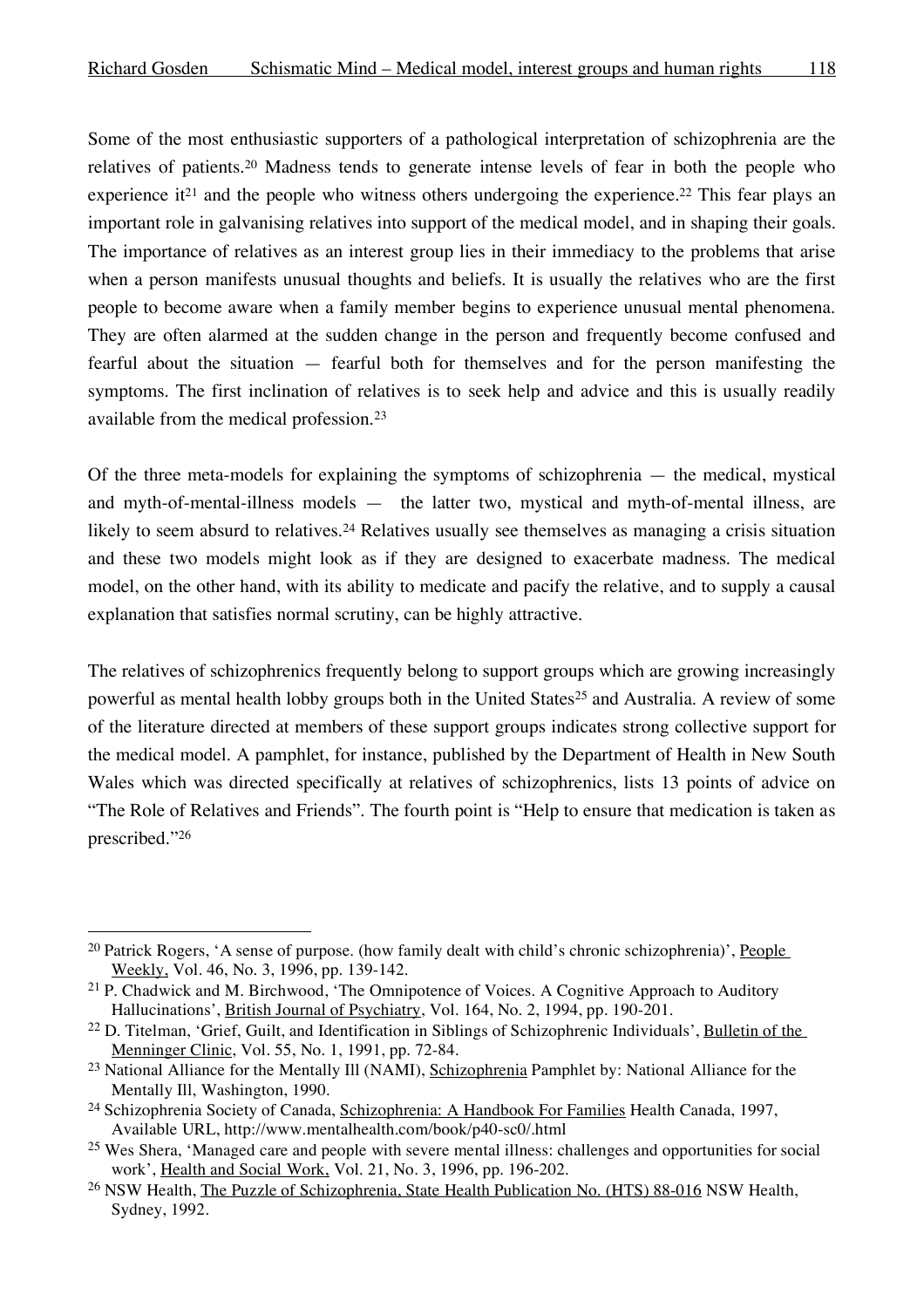Some of the most enthusiastic supporters of a pathological interpretation of schizophrenia are the relatives of patients.20 Madness tends to generate intense levels of fear in both the people who experience it<sup>21</sup> and the people who witness others undergoing the experience.<sup>22</sup> This fear plays an important role in galvanising relatives into support of the medical model, and in shaping their goals. The importance of relatives as an interest group lies in their immediacy to the problems that arise when a person manifests unusual thoughts and beliefs. It is usually the relatives who are the first people to become aware when a family member begins to experience unusual mental phenomena. They are often alarmed at the sudden change in the person and frequently become confused and fearful about the situation — fearful both for themselves and for the person manifesting the symptoms. The first inclination of relatives is to seek help and advice and this is usually readily available from the medical profession.23

Of the three meta-models for explaining the symptoms of schizophrenia — the medical, mystical and myth-of-mental-illness models — the latter two, mystical and myth-of-mental illness, are likely to seem absurd to relatives.<sup>24</sup> Relatives usually see themselves as managing a crisis situation and these two models might look as if they are designed to exacerbate madness. The medical model, on the other hand, with its ability to medicate and pacify the relative, and to supply a causal explanation that satisfies normal scrutiny, can be highly attractive.

The relatives of schizophrenics frequently belong to support groups which are growing increasingly powerful as mental health lobby groups both in the United States25 and Australia. A review of some of the literature directed at members of these support groups indicates strong collective support for the medical model. A pamphlet, for instance, published by the Department of Health in New South Wales which was directed specifically at relatives of schizophrenics, lists 13 points of advice on "The Role of Relatives and Friends". The fourth point is "Help to ensure that medication is taken as prescribed."26

<sup>&</sup>lt;sup>20</sup> Patrick Rogers, 'A sense of purpose. (how family dealt with child's chronic schizophrenia)', People Weekly, Vol. 46, No. 3, 1996, pp. 139-142.

 $21$  P. Chadwick and M. Birchwood, 'The Omnipotence of Voices. A Cognitive Approach to Auditory Hallucinations', British Journal of Psychiatry, Vol. 164, No. 2, 1994, pp. 190-201.

<sup>22</sup> D. Titelman, 'Grief, Guilt, and Identification in Siblings of Schizophrenic Individuals', Bulletin of the Menninger Clinic, Vol. 55, No. 1, 1991, pp. 72-84.

<sup>&</sup>lt;sup>23</sup> National Alliance for the Mentally Ill (NAMI), Schizophrenia Pamphlet by: National Alliance for the Mentally Ill, Washington, 1990.

<sup>&</sup>lt;sup>24</sup> Schizophrenia Society of Canada, Schizophrenia: A Handbook For Families Health Canada, 1997, Available URL, http://www.mentalhealth.com/book/p40-sc0/.html

<sup>25</sup> Wes Shera, 'Managed care and people with severe mental illness: challenges and opportunities for social work', Health and Social Work, Vol. 21, No. 3, 1996, pp. 196-202.

<sup>26</sup> NSW Health, The Puzzle of Schizophrenia, State Health Publication No. (HTS) 88-016 NSW Health, Sydney, 1992.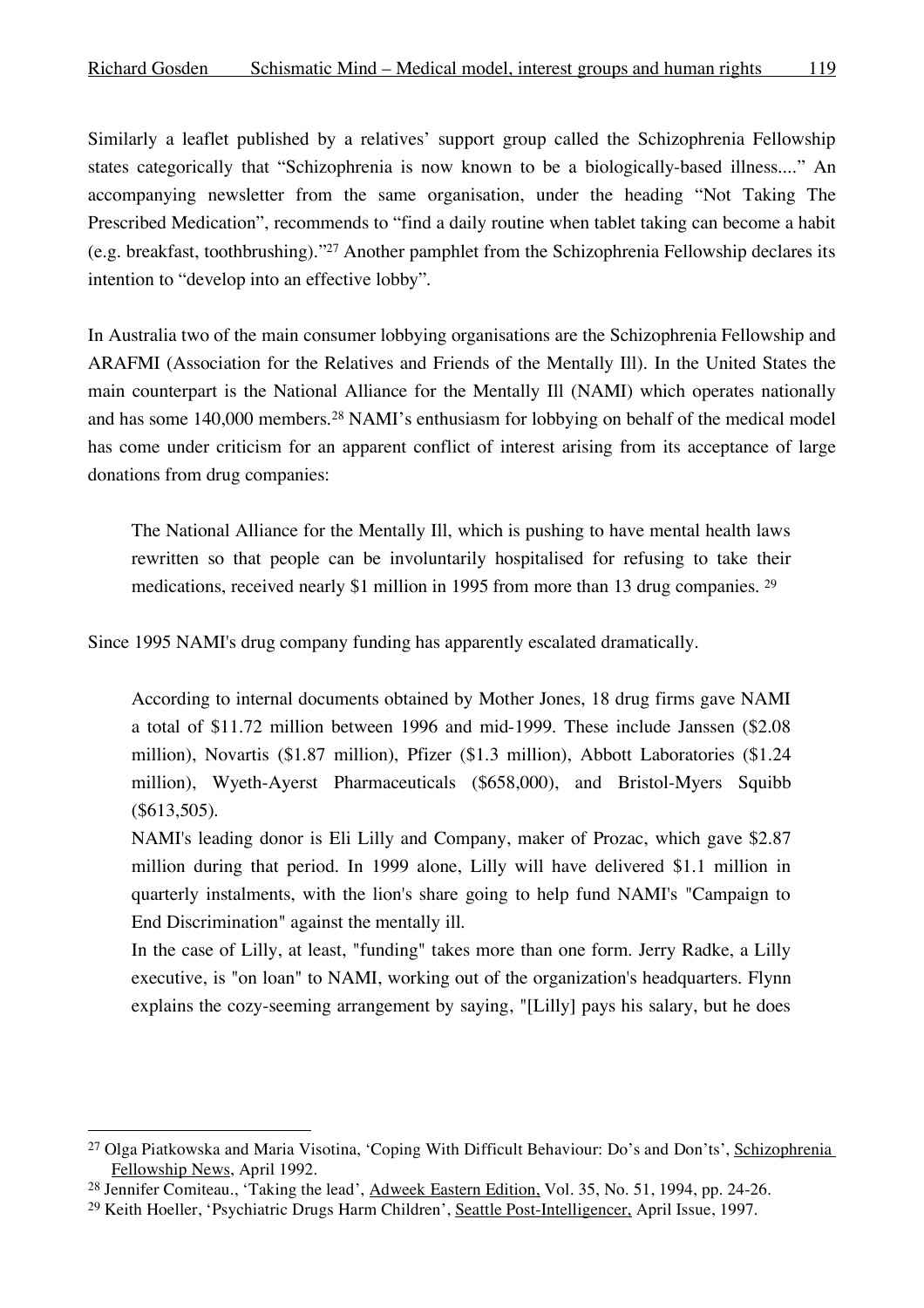Similarly a leaflet published by a relatives' support group called the Schizophrenia Fellowship states categorically that "Schizophrenia is now known to be a biologically-based illness...." An accompanying newsletter from the same organisation, under the heading "Not Taking The Prescribed Medication", recommends to "find a daily routine when tablet taking can become a habit (e.g. breakfast, toothbrushing)."27 Another pamphlet from the Schizophrenia Fellowship declares its intention to "develop into an effective lobby".

In Australia two of the main consumer lobbying organisations are the Schizophrenia Fellowship and ARAFMI (Association for the Relatives and Friends of the Mentally Ill). In the United States the main counterpart is the National Alliance for the Mentally Ill (NAMI) which operates nationally and has some 140,000 members. <sup>28</sup> NAMI's enthusiasm for lobbying on behalf of the medical model has come under criticism for an apparent conflict of interest arising from its acceptance of large donations from drug companies:

The National Alliance for the Mentally Ill, which is pushing to have mental health laws rewritten so that people can be involuntarily hospitalised for refusing to take their medications, received nearly \$1 million in 1995 from more than 13 drug companies. <sup>29</sup>

Since 1995 NAMI's drug company funding has apparently escalated dramatically.

According to internal documents obtained by Mother Jones, 18 drug firms gave NAMI a total of \$11.72 million between 1996 and mid-1999. These include Janssen (\$2.08 million), Novartis (\$1.87 million), Pfizer (\$1.3 million), Abbott Laboratories (\$1.24 million), Wyeth-Ayerst Pharmaceuticals (\$658,000), and Bristol-Myers Squibb (\$613,505).

NAMI's leading donor is Eli Lilly and Company, maker of Prozac, which gave \$2.87 million during that period. In 1999 alone, Lilly will have delivered \$1.1 million in quarterly instalments, with the lion's share going to help fund NAMI's "Campaign to End Discrimination" against the mentally ill.

In the case of Lilly, at least, "funding" takes more than one form. Jerry Radke, a Lilly executive, is "on loan" to NAMI, working out of the organization's headquarters. Flynn explains the cozy-seeming arrangement by saying, "[Lilly] pays his salary, but he does

 <sup>27</sup> Olga Piatkowska and Maria Visotina, 'Coping With Difficult Behaviour: Do's and Don'ts', Schizophrenia Fellowship News, April 1992.

<sup>28</sup> Jennifer Comiteau., 'Taking the lead', Adweek Eastern Edition, Vol. 35, No. 51, 1994, pp. 24-26.

<sup>&</sup>lt;sup>29</sup> Keith Hoeller, 'Psychiatric Drugs Harm Children', Seattle Post-Intelligencer, April Issue, 1997.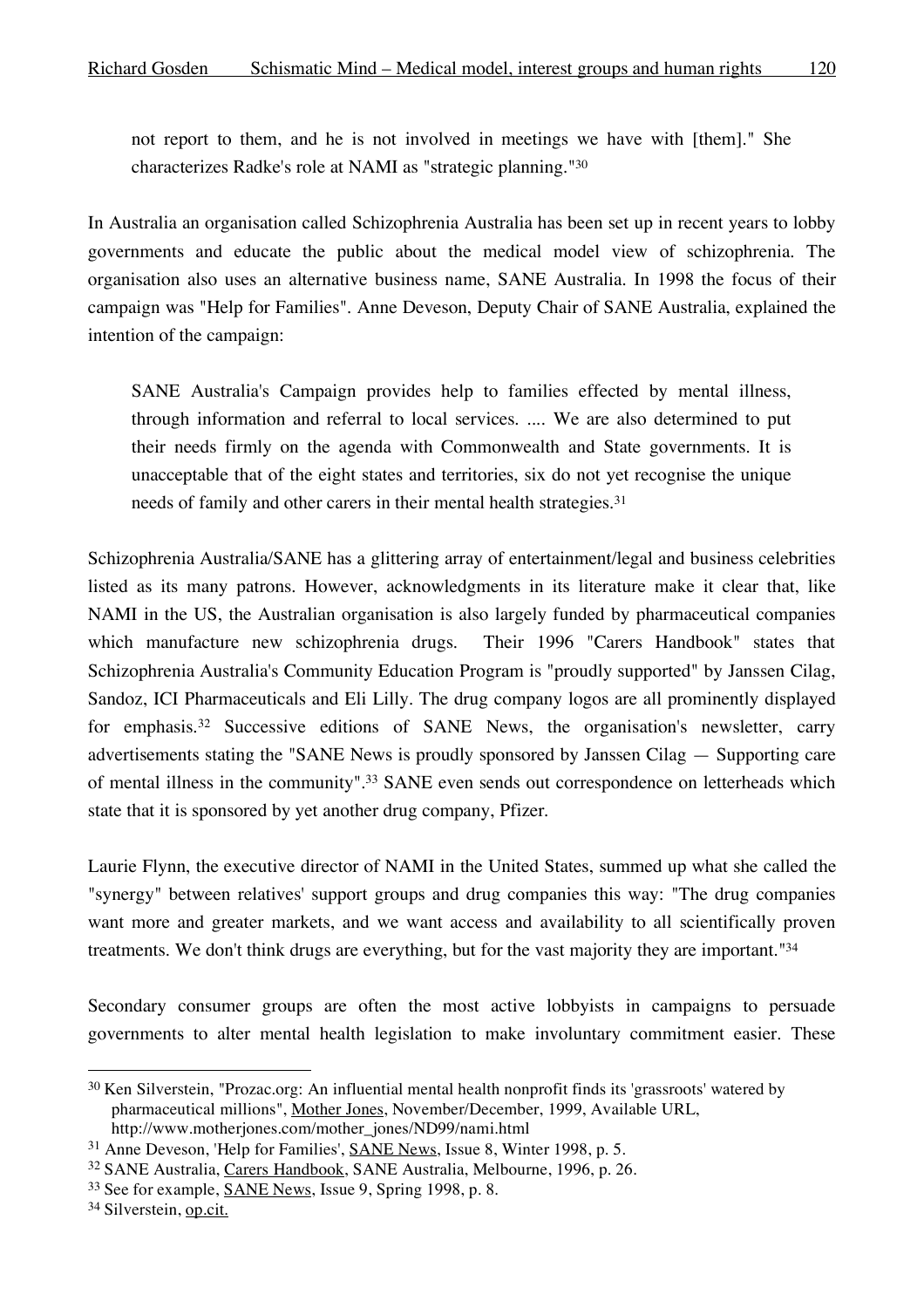not report to them, and he is not involved in meetings we have with [them]." She characterizes Radke's role at NAMI as "strategic planning."30

In Australia an organisation called Schizophrenia Australia has been set up in recent years to lobby governments and educate the public about the medical model view of schizophrenia. The organisation also uses an alternative business name, SANE Australia. In 1998 the focus of their campaign was "Help for Families". Anne Deveson, Deputy Chair of SANE Australia, explained the intention of the campaign:

SANE Australia's Campaign provides help to families effected by mental illness, through information and referral to local services. .... We are also determined to put their needs firmly on the agenda with Commonwealth and State governments. It is unacceptable that of the eight states and territories, six do not yet recognise the unique needs of family and other carers in their mental health strategies. 31

Schizophrenia Australia/SANE has a glittering array of entertainment/legal and business celebrities listed as its many patrons. However, acknowledgments in its literature make it clear that, like NAMI in the US, the Australian organisation is also largely funded by pharmaceutical companies which manufacture new schizophrenia drugs. Their 1996 "Carers Handbook" states that Schizophrenia Australia's Community Education Program is "proudly supported" by Janssen Cilag, Sandoz, ICI Pharmaceuticals and Eli Lilly. The drug company logos are all prominently displayed for emphasis.32 Successive editions of SANE News, the organisation's newsletter, carry advertisements stating the "SANE News is proudly sponsored by Janssen Cilag — Supporting care of mental illness in the community". <sup>33</sup> SANE even sends out correspondence on letterheads which state that it is sponsored by yet another drug company, Pfizer.

Laurie Flynn, the executive director of NAMI in the United States, summed up what she called the "synergy" between relatives' support groups and drug companies this way: "The drug companies want more and greater markets, and we want access and availability to all scientifically proven treatments. We don't think drugs are everything, but for the vast majority they are important."34

Secondary consumer groups are often the most active lobbyists in campaigns to persuade governments to alter mental health legislation to make involuntary commitment easier. These

 <sup>30</sup> Ken Silverstein, "Prozac.org: An influential mental health nonprofit finds its 'grassroots' watered by pharmaceutical millions", Mother Jones, November/December, 1999, Available URL, http://www.motherjones.com/mother\_jones/ND99/nami.html

<sup>&</sup>lt;sup>31</sup> Anne Deveson, 'Help for Families', **SANE News**, Issue 8, Winter 1998, p. 5.

<sup>32</sup> SANE Australia, Carers Handbook, SANE Australia, Melbourne, 1996, p. 26.

<sup>33</sup> See for example, SANE News, Issue 9, Spring 1998, p. 8.

<sup>34</sup> Silverstein, op.cit.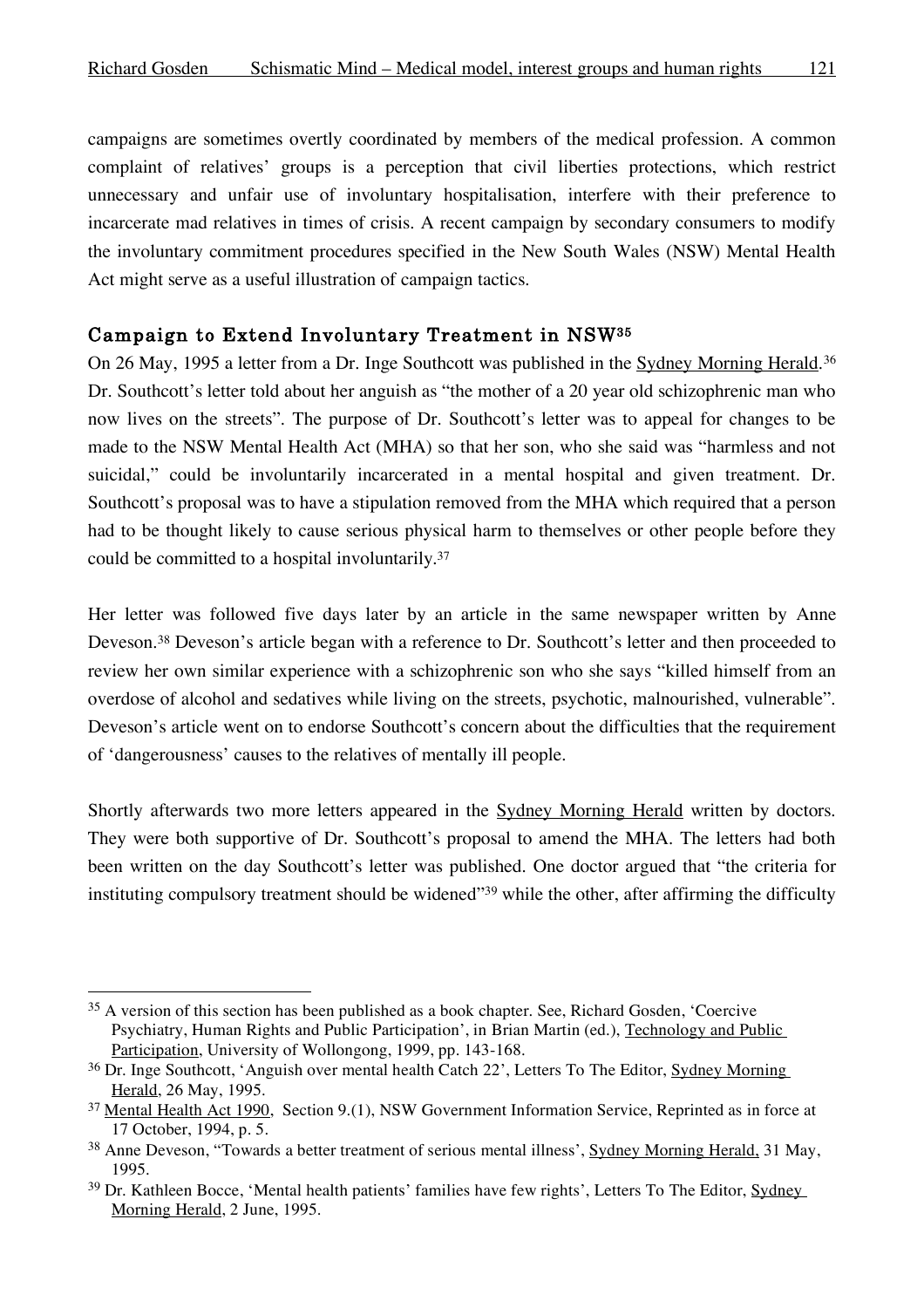campaigns are sometimes overtly coordinated by members of the medical profession. A common complaint of relatives' groups is a perception that civil liberties protections, which restrict unnecessary and unfair use of involuntary hospitalisation, interfere with their preference to incarcerate mad relatives in times of crisis. A recent campaign by secondary consumers to modify the involuntary commitment procedures specified in the New South Wales (NSW) Mental Health Act might serve as a useful illustration of campaign tactics.

#### Campaign to Extend Involuntary Treatment in NSW35

On 26 May, 1995 a letter from a Dr. Inge Southcott was published in the Sydney Morning Herald.36 Dr. Southcott's letter told about her anguish as "the mother of a 20 year old schizophrenic man who now lives on the streets". The purpose of Dr. Southcott's letter was to appeal for changes to be made to the NSW Mental Health Act (MHA) so that her son, who she said was "harmless and not suicidal," could be involuntarily incarcerated in a mental hospital and given treatment. Dr. Southcott's proposal was to have a stipulation removed from the MHA which required that a person had to be thought likely to cause serious physical harm to themselves or other people before they could be committed to a hospital involuntarily. 37

Her letter was followed five days later by an article in the same newspaper written by Anne Deveson.38 Deveson's article began with a reference to Dr. Southcott's letter and then proceeded to review her own similar experience with a schizophrenic son who she says "killed himself from an overdose of alcohol and sedatives while living on the streets, psychotic, malnourished, vulnerable". Deveson's article went on to endorse Southcott's concern about the difficulties that the requirement of 'dangerousness' causes to the relatives of mentally ill people.

Shortly afterwards two more letters appeared in the Sydney Morning Herald written by doctors. They were both supportive of Dr. Southcott's proposal to amend the MHA. The letters had both been written on the day Southcott's letter was published. One doctor argued that "the criteria for instituting compulsory treatment should be widened"39 while the other, after affirming the difficulty

<sup>&</sup>lt;sup>35</sup> A version of this section has been published as a book chapter. See, Richard Gosden, 'Coercive Psychiatry, Human Rights and Public Participation', in Brian Martin (ed.), Technology and Public Participation, University of Wollongong, 1999, pp. 143-168.

<sup>&</sup>lt;sup>36</sup> Dr. Inge Southcott, 'Anguish over mental health Catch 22', Letters To The Editor, Sydney Morning Herald, 26 May, 1995.

<sup>37</sup> Mental Health Act 1990, Section 9.(1), NSW Government Information Service, Reprinted as in force at 17 October, 1994, p. 5.

<sup>&</sup>lt;sup>38</sup> Anne Deveson, "Towards a better treatment of serious mental illness', Sydney Morning Herald, 31 May, 1995.

<sup>39</sup> Dr. Kathleen Bocce, 'Mental health patients' families have few rights', Letters To The Editor, Sydney Morning Herald, 2 June, 1995.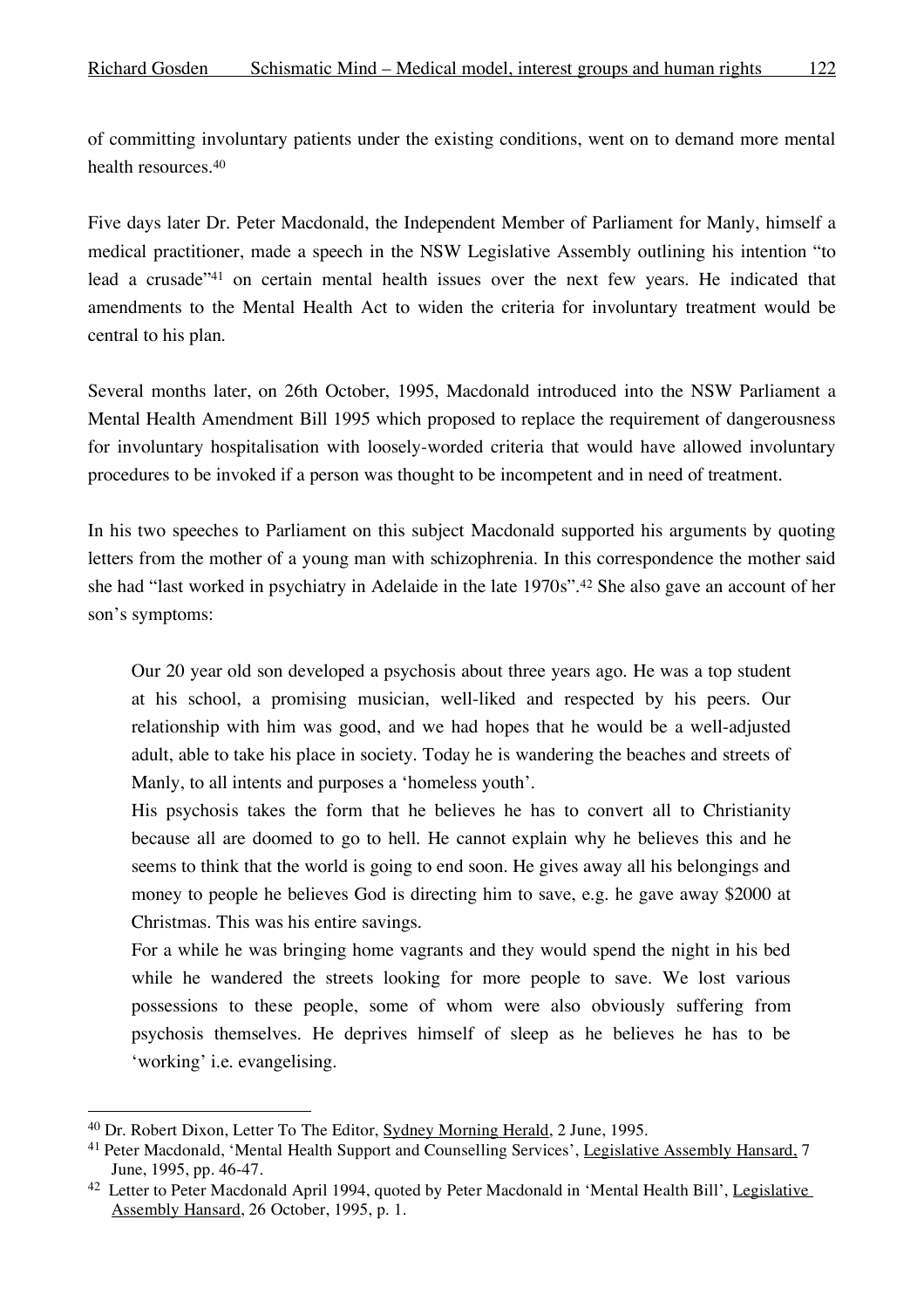of committing involuntary patients under the existing conditions, went on to demand more mental health resources.40

Five days later Dr. Peter Macdonald, the Independent Member of Parliament for Manly, himself a medical practitioner, made a speech in the NSW Legislative Assembly outlining his intention "to lead a crusade"41 on certain mental health issues over the next few years. He indicated that amendments to the Mental Health Act to widen the criteria for involuntary treatment would be central to his plan.

Several months later, on 26th October, 1995, Macdonald introduced into the NSW Parliament a Mental Health Amendment Bill 1995 which proposed to replace the requirement of dangerousness for involuntary hospitalisation with loosely-worded criteria that would have allowed involuntary procedures to be invoked if a person was thought to be incompetent and in need of treatment.

In his two speeches to Parliament on this subject Macdonald supported his arguments by quoting letters from the mother of a young man with schizophrenia. In this correspondence the mother said she had "last worked in psychiatry in Adelaide in the late 1970s".42 She also gave an account of her son's symptoms:

Our 20 year old son developed a psychosis about three years ago. He was a top student at his school, a promising musician, well-liked and respected by his peers. Our relationship with him was good, and we had hopes that he would be a well-adjusted adult, able to take his place in society. Today he is wandering the beaches and streets of Manly, to all intents and purposes a 'homeless youth'.

His psychosis takes the form that he believes he has to convert all to Christianity because all are doomed to go to hell. He cannot explain why he believes this and he seems to think that the world is going to end soon. He gives away all his belongings and money to people he believes God is directing him to save, e.g. he gave away \$2000 at Christmas. This was his entire savings.

For a while he was bringing home vagrants and they would spend the night in his bed while he wandered the streets looking for more people to save. We lost various possessions to these people, some of whom were also obviously suffering from psychosis themselves. He deprives himself of sleep as he believes he has to be 'working' i.e. evangelising.

 <sup>40</sup> Dr. Robert Dixon, Letter To The Editor, Sydney Morning Herald, <sup>2</sup> June, 1995.

<sup>&</sup>lt;sup>41</sup> Peter Macdonald, 'Mental Health Support and Counselling Services', Legislative Assembly Hansard, 7 June, 1995, pp. 46-47.

<sup>&</sup>lt;sup>42</sup> Letter to Peter Macdonald April 1994, quoted by Peter Macdonald in 'Mental Health Bill', Legislative Assembly Hansard, 26 October, 1995, p. 1.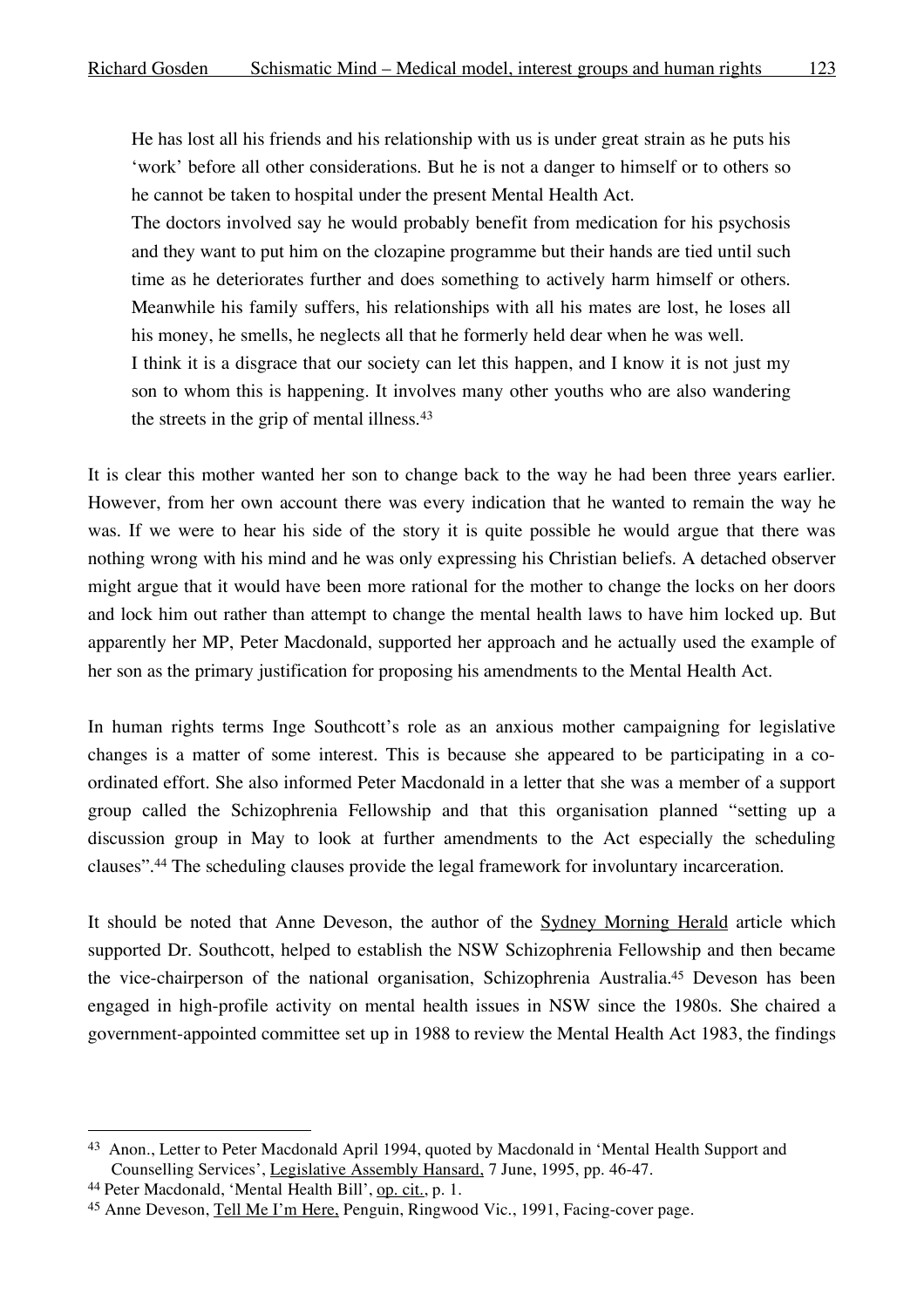He has lost all his friends and his relationship with us is under great strain as he puts his 'work' before all other considerations. But he is not a danger to himself or to others so he cannot be taken to hospital under the present Mental Health Act.

The doctors involved say he would probably benefit from medication for his psychosis and they want to put him on the clozapine programme but their hands are tied until such time as he deteriorates further and does something to actively harm himself or others. Meanwhile his family suffers, his relationships with all his mates are lost, he loses all his money, he smells, he neglects all that he formerly held dear when he was well. I think it is a disgrace that our society can let this happen, and I know it is not just my son to whom this is happening. It involves many other youths who are also wandering the streets in the grip of mental illness.43

It is clear this mother wanted her son to change back to the way he had been three years earlier. However, from her own account there was every indication that he wanted to remain the way he was. If we were to hear his side of the story it is quite possible he would argue that there was nothing wrong with his mind and he was only expressing his Christian beliefs. A detached observer might argue that it would have been more rational for the mother to change the locks on her doors and lock him out rather than attempt to change the mental health laws to have him locked up. But apparently her MP, Peter Macdonald, supported her approach and he actually used the example of her son as the primary justification for proposing his amendments to the Mental Health Act.

In human rights terms Inge Southcott's role as an anxious mother campaigning for legislative changes is a matter of some interest. This is because she appeared to be participating in a coordinated effort. She also informed Peter Macdonald in a letter that she was a member of a support group called the Schizophrenia Fellowship and that this organisation planned "setting up a discussion group in May to look at further amendments to the Act especially the scheduling clauses".44 The scheduling clauses provide the legal framework for involuntary incarceration.

It should be noted that Anne Deveson, the author of the Sydney Morning Herald article which supported Dr. Southcott, helped to establish the NSW Schizophrenia Fellowship and then became the vice-chairperson of the national organisation, Schizophrenia Australia. <sup>45</sup> Deveson has been engaged in high-profile activity on mental health issues in NSW since the 1980s. She chaired a government-appointed committee set up in 1988 to review the Mental Health Act 1983, the findings

 <sup>43</sup> Anon., Letter to Peter Macdonald April 1994, quoted by Macdonald in 'Mental Health Support and Counselling Services', Legislative Assembly Hansard, 7 June, 1995, pp. 46-47.

<sup>44</sup> Peter Macdonald, 'Mental Health Bill', op. cit., p. 1.

<sup>&</sup>lt;sup>45</sup> Anne Deveson, Tell Me I'm Here, Penguin, Ringwood Vic., 1991, Facing-cover page.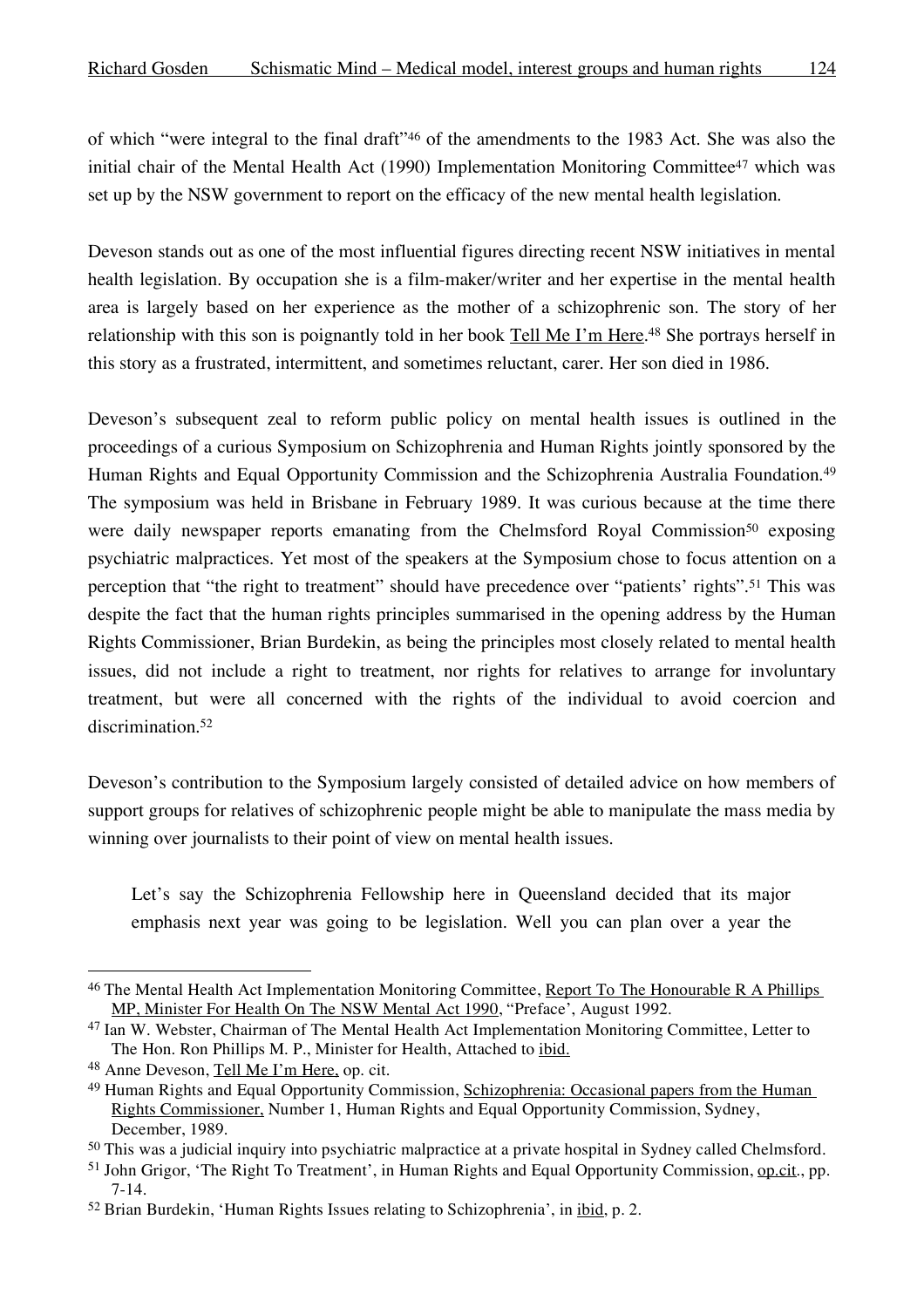of which "were integral to the final draft"46 of the amendments to the 1983 Act. She was also the initial chair of the Mental Health Act (1990) Implementation Monitoring Committee<sup>47</sup> which was set up by the NSW government to report on the efficacy of the new mental health legislation.

Deveson stands out as one of the most influential figures directing recent NSW initiatives in mental health legislation. By occupation she is a film-maker/writer and her expertise in the mental health area is largely based on her experience as the mother of a schizophrenic son. The story of her relationship with this son is poignantly told in her book Tell Me I'm Here.<sup>48</sup> She portrays herself in this story as a frustrated, intermittent, and sometimes reluctant, carer. Her son died in 1986.

Deveson's subsequent zeal to reform public policy on mental health issues is outlined in the proceedings of a curious Symposium on Schizophrenia and Human Rights jointly sponsored by the Human Rights and Equal Opportunity Commission and the Schizophrenia Australia Foundation.<sup>49</sup> The symposium was held in Brisbane in February 1989. It was curious because at the time there were daily newspaper reports emanating from the Chelmsford Royal Commission<sup>50</sup> exposing psychiatric malpractices. Yet most of the speakers at the Symposium chose to focus attention on a perception that "the right to treatment" should have precedence over "patients' rights".51 This was despite the fact that the human rights principles summarised in the opening address by the Human Rights Commissioner, Brian Burdekin, as being the principles most closely related to mental health issues, did not include a right to treatment, nor rights for relatives to arrange for involuntary treatment, but were all concerned with the rights of the individual to avoid coercion and discrimination.<sup>52</sup>

Deveson's contribution to the Symposium largely consisted of detailed advice on how members of support groups for relatives of schizophrenic people might be able to manipulate the mass media by winning over journalists to their point of view on mental health issues.

Let's say the Schizophrenia Fellowship here in Queensland decided that its major emphasis next year was going to be legislation. Well you can plan over a year the

 <sup>46</sup> The Mental Health Act Implementation Monitoring Committee, Report To The Honourable R A Phillips MP, Minister For Health On The NSW Mental Act 1990, "Preface', August 1992.

<sup>&</sup>lt;sup>47</sup> Ian W. Webster, Chairman of The Mental Health Act Implementation Monitoring Committee, Letter to The Hon. Ron Phillips M. P., Minister for Health, Attached to ibid.

<sup>48</sup> Anne Deveson, Tell Me I'm Here, op. cit.

<sup>&</sup>lt;sup>49</sup> Human Rights and Equal Opportunity Commission, Schizophrenia: Occasional papers from the Human Rights Commissioner, Number 1, Human Rights and Equal Opportunity Commission, Sydney, December, 1989.

<sup>50</sup> This was a judicial inquiry into psychiatric malpractice at a private hospital in Sydney called Chelmsford.

<sup>51</sup> John Grigor, 'The Right To Treatment', in Human Rights and Equal Opportunity Commission, op.cit., pp. 7-14.

<sup>52</sup> Brian Burdekin, 'Human Rights Issues relating to Schizophrenia', in ibid, p. 2.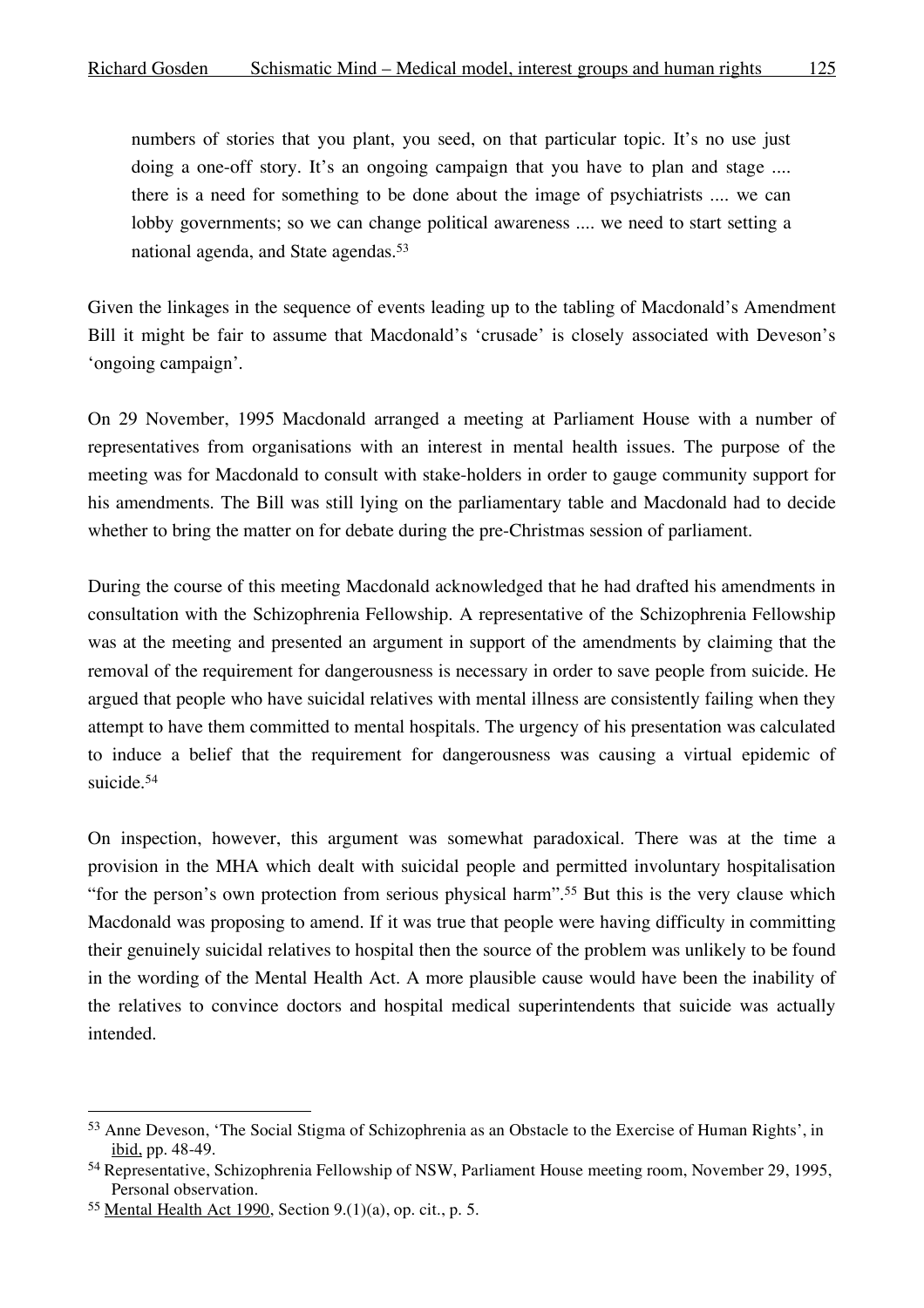numbers of stories that you plant, you seed, on that particular topic. It's no use just doing a one-off story. It's an ongoing campaign that you have to plan and stage .... there is a need for something to be done about the image of psychiatrists .... we can lobby governments; so we can change political awareness .... we need to start setting a national agenda, and State agendas.<sup>53</sup>

Given the linkages in the sequence of events leading up to the tabling of Macdonald's Amendment Bill it might be fair to assume that Macdonald's 'crusade' is closely associated with Deveson's 'ongoing campaign'.

On 29 November, 1995 Macdonald arranged a meeting at Parliament House with a number of representatives from organisations with an interest in mental health issues. The purpose of the meeting was for Macdonald to consult with stake-holders in order to gauge community support for his amendments. The Bill was still lying on the parliamentary table and Macdonald had to decide whether to bring the matter on for debate during the pre-Christmas session of parliament.

During the course of this meeting Macdonald acknowledged that he had drafted his amendments in consultation with the Schizophrenia Fellowship. A representative of the Schizophrenia Fellowship was at the meeting and presented an argument in support of the amendments by claiming that the removal of the requirement for dangerousness is necessary in order to save people from suicide. He argued that people who have suicidal relatives with mental illness are consistently failing when they attempt to have them committed to mental hospitals. The urgency of his presentation was calculated to induce a belief that the requirement for dangerousness was causing a virtual epidemic of suicide.54

On inspection, however, this argument was somewhat paradoxical. There was at the time a provision in the MHA which dealt with suicidal people and permitted involuntary hospitalisation "for the person's own protection from serious physical harm".55 But this is the very clause which Macdonald was proposing to amend. If it was true that people were having difficulty in committing their genuinely suicidal relatives to hospital then the source of the problem was unlikely to be found in the wording of the Mental Health Act. A more plausible cause would have been the inability of the relatives to convince doctors and hospital medical superintendents that suicide was actually intended.

 <sup>53</sup> Anne Deveson, 'The Social Stigma of Schizophrenia as an Obstacle to the Exercise of Human Rights', in ibid, pp. 48-49.

<sup>54</sup> Representative, Schizophrenia Fellowship of NSW, Parliament House meeting room, November 29, 1995, Personal observation.

<sup>55</sup> Mental Health Act 1990, Section 9.(1)(a), op. cit., p. 5.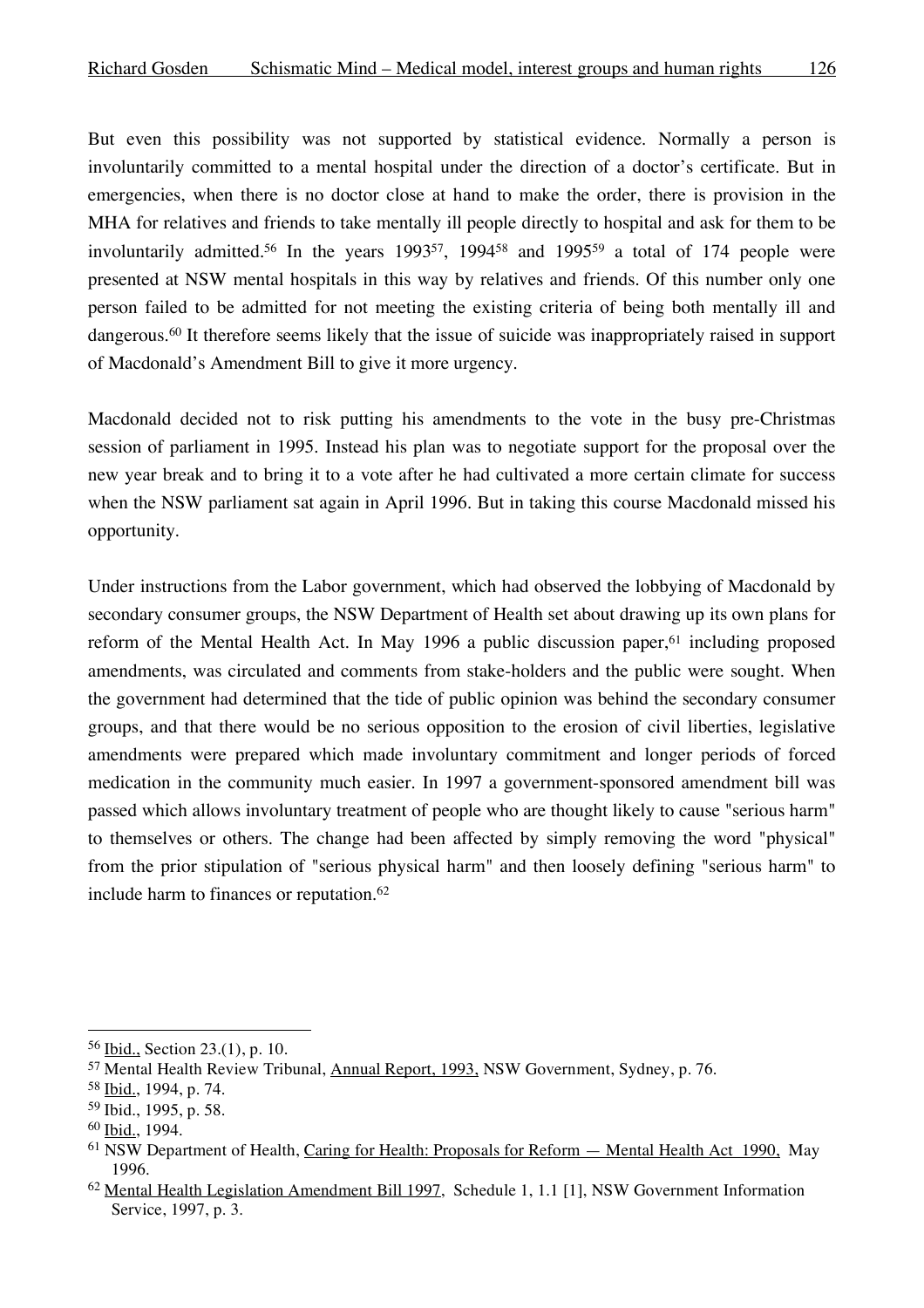But even this possibility was not supported by statistical evidence. Normally a person is involuntarily committed to a mental hospital under the direction of a doctor's certificate. But in emergencies, when there is no doctor close at hand to make the order, there is provision in the MHA for relatives and friends to take mentally ill people directly to hospital and ask for them to be involuntarily admitted.<sup>56</sup> In the years 1993<sup>57</sup>, 1994<sup>58</sup> and 1995<sup>59</sup> a total of 174 people were presented at NSW mental hospitals in this way by relatives and friends. Of this number only one person failed to be admitted for not meeting the existing criteria of being both mentally ill and dangerous. <sup>60</sup> It therefore seems likely that the issue of suicide was inappropriately raised in support of Macdonald's Amendment Bill to give it more urgency.

Macdonald decided not to risk putting his amendments to the vote in the busy pre-Christmas session of parliament in 1995. Instead his plan was to negotiate support for the proposal over the new year break and to bring it to a vote after he had cultivated a more certain climate for success when the NSW parliament sat again in April 1996. But in taking this course Macdonald missed his opportunity.

Under instructions from the Labor government, which had observed the lobbying of Macdonald by secondary consumer groups, the NSW Department of Health set about drawing up its own plans for reform of the Mental Health Act. In May 1996 a public discussion paper,<sup>61</sup> including proposed amendments, was circulated and comments from stake-holders and the public were sought. When the government had determined that the tide of public opinion was behind the secondary consumer groups, and that there would be no serious opposition to the erosion of civil liberties, legislative amendments were prepared which made involuntary commitment and longer periods of forced medication in the community much easier. In 1997 a government-sponsored amendment bill was passed which allows involuntary treatment of people who are thought likely to cause "serious harm" to themselves or others. The change had been affected by simply removing the word "physical" from the prior stipulation of "serious physical harm" and then loosely defining "serious harm" to include harm to finances or reputation.62

 <sup>56</sup> Ibid., Section 23.(1), p. 10.

<sup>57</sup> Mental Health Review Tribunal, Annual Report, 1993, NSW Government, Sydney, p. 76.

<sup>58</sup> Ibid., 1994, p. 74.

<sup>59</sup> Ibid., 1995, p. 58.

<sup>60</sup> Ibid., 1994.

<sup>61</sup> NSW Department of Health, Caring for Health: Proposals for Reform — Mental Health Act 1990, May 1996.

<sup>62</sup> Mental Health Legislation Amendment Bill 1997, Schedule 1, 1.1 [1], NSW Government Information Service, 1997, p. 3.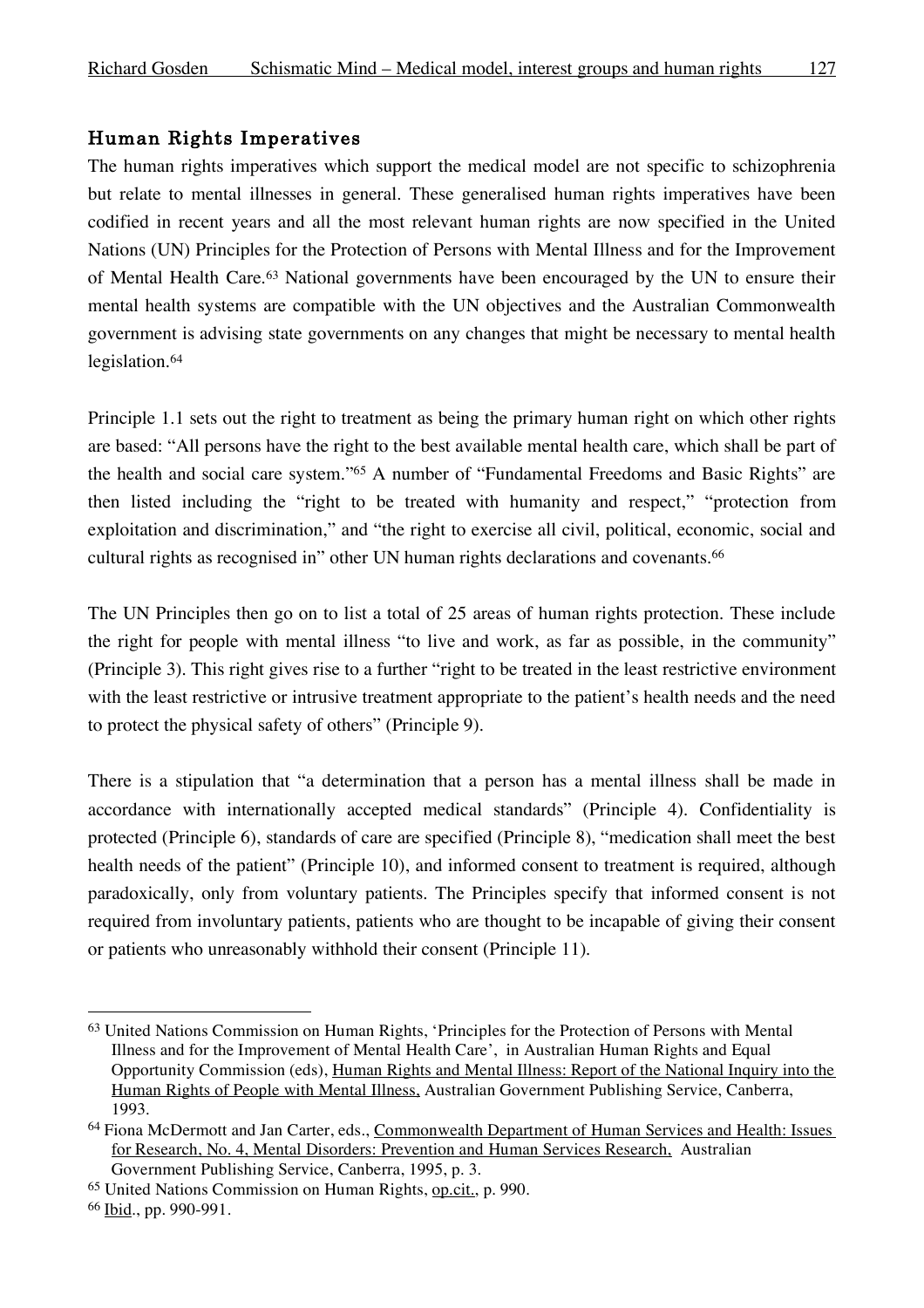#### Human Rights Imperatives

The human rights imperatives which support the medical model are not specific to schizophrenia but relate to mental illnesses in general. These generalised human rights imperatives have been codified in recent years and all the most relevant human rights are now specified in the United Nations (UN) Principles for the Protection of Persons with Mental Illness and for the Improvement of Mental Health Care.<sup>63</sup> National governments have been encouraged by the UN to ensure their mental health systems are compatible with the UN objectives and the Australian Commonwealth government is advising state governments on any changes that might be necessary to mental health legislation.<sup>64</sup>

Principle 1.1 sets out the right to treatment as being the primary human right on which other rights are based: "All persons have the right to the best available mental health care, which shall be part of the health and social care system."65 A number of "Fundamental Freedoms and Basic Rights" are then listed including the "right to be treated with humanity and respect," "protection from exploitation and discrimination," and "the right to exercise all civil, political, economic, social and cultural rights as recognised in" other UN human rights declarations and covenants.<sup>66</sup>

The UN Principles then go on to list a total of 25 areas of human rights protection. These include the right for people with mental illness "to live and work, as far as possible, in the community" (Principle 3). This right gives rise to a further "right to be treated in the least restrictive environment with the least restrictive or intrusive treatment appropriate to the patient's health needs and the need to protect the physical safety of others" (Principle 9).

There is a stipulation that "a determination that a person has a mental illness shall be made in accordance with internationally accepted medical standards" (Principle 4). Confidentiality is protected (Principle 6), standards of care are specified (Principle 8), "medication shall meet the best health needs of the patient" (Principle 10), and informed consent to treatment is required, although paradoxically, only from voluntary patients. The Principles specify that informed consent is not required from involuntary patients, patients who are thought to be incapable of giving their consent or patients who unreasonably withhold their consent (Principle 11).

 <sup>63</sup> United Nations Commission on Human Rights, 'Principles for the Protection of Persons with Mental Illness and for the Improvement of Mental Health Care', in Australian Human Rights and Equal Opportunity Commission (eds), Human Rights and Mental Illness: Report of the National Inquiry into the Human Rights of People with Mental Illness, Australian Government Publishing Service, Canberra, 1993.

<sup>64</sup> Fiona McDermott and Jan Carter, eds., Commonwealth Department of Human Services and Health: Issues for Research, No. 4, Mental Disorders: Prevention and Human Services Research, Australian Government Publishing Service, Canberra, 1995, p. 3.

<sup>65</sup> United Nations Commission on Human Rights, op.cit., p. 990.

<sup>66</sup> Ibid., pp. 990-991.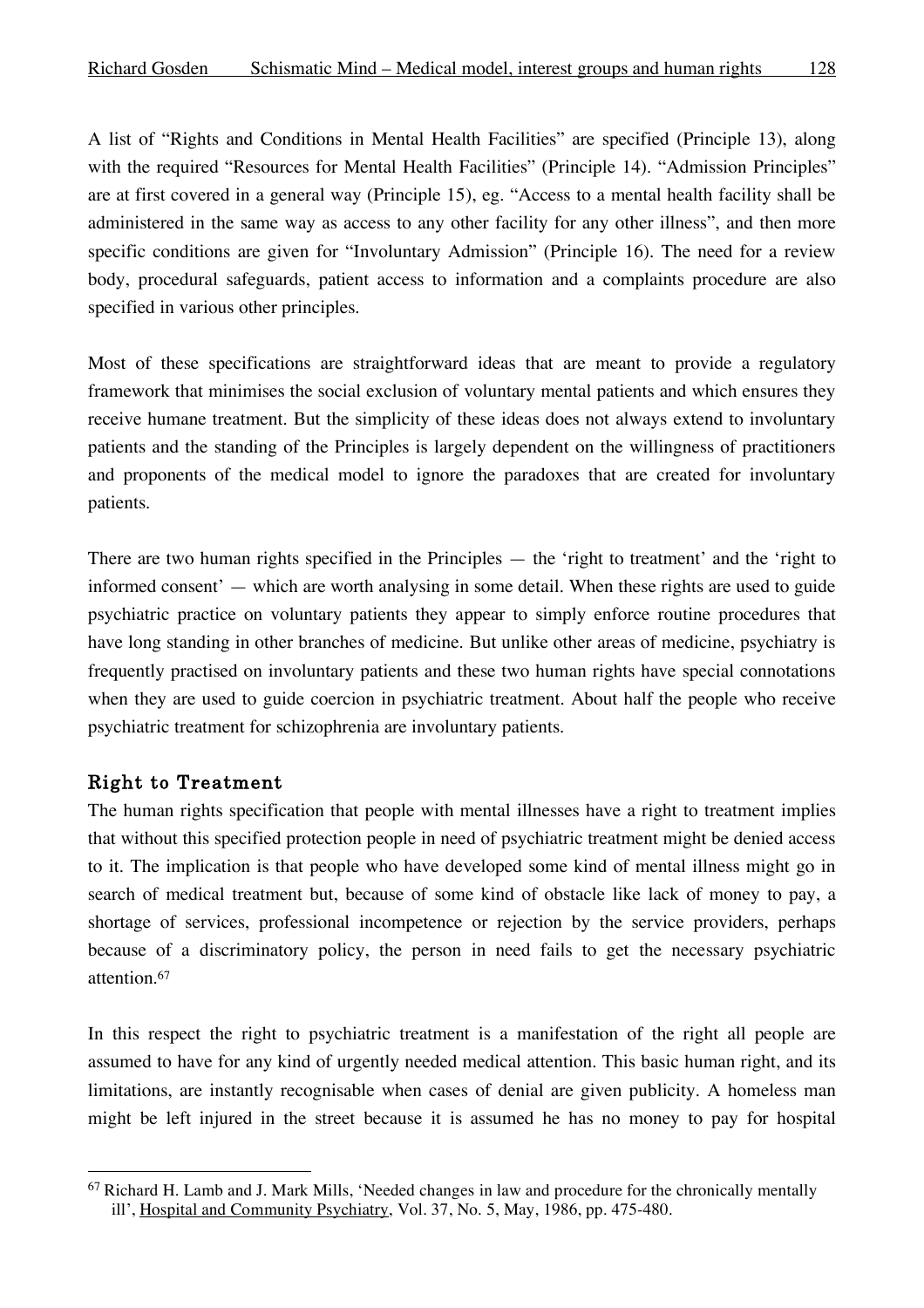A list of "Rights and Conditions in Mental Health Facilities" are specified (Principle 13), along with the required "Resources for Mental Health Facilities" (Principle 14). "Admission Principles" are at first covered in a general way (Principle 15), eg. "Access to a mental health facility shall be administered in the same way as access to any other facility for any other illness", and then more specific conditions are given for "Involuntary Admission" (Principle 16). The need for a review body, procedural safeguards, patient access to information and a complaints procedure are also specified in various other principles.

Most of these specifications are straightforward ideas that are meant to provide a regulatory framework that minimises the social exclusion of voluntary mental patients and which ensures they receive humane treatment. But the simplicity of these ideas does not always extend to involuntary patients and the standing of the Principles is largely dependent on the willingness of practitioners and proponents of the medical model to ignore the paradoxes that are created for involuntary patients.

There are two human rights specified in the Principles — the 'right to treatment' and the 'right to informed consent' — which are worth analysing in some detail. When these rights are used to guide psychiatric practice on voluntary patients they appear to simply enforce routine procedures that have long standing in other branches of medicine. But unlike other areas of medicine, psychiatry is frequently practised on involuntary patients and these two human rights have special connotations when they are used to guide coercion in psychiatric treatment. About half the people who receive psychiatric treatment for schizophrenia are involuntary patients.

#### Right to Treatment

The human rights specification that people with mental illnesses have a right to treatment implies that without this specified protection people in need of psychiatric treatment might be denied access to it. The implication is that people who have developed some kind of mental illness might go in search of medical treatment but, because of some kind of obstacle like lack of money to pay, a shortage of services, professional incompetence or rejection by the service providers, perhaps because of a discriminatory policy, the person in need fails to get the necessary psychiatric attention.67

In this respect the right to psychiatric treatment is a manifestation of the right all people are assumed to have for any kind of urgently needed medical attention. This basic human right, and its limitations, are instantly recognisable when cases of denial are given publicity. A homeless man might be left injured in the street because it is assumed he has no money to pay for hospital

 <sup>67</sup> Richard H. Lamb and J. Mark Mills, 'Needed changes in law and procedure for the chronically mentally ill', Hospital and Community Psychiatry, Vol. 37, No. 5, May, 1986, pp. 475-480.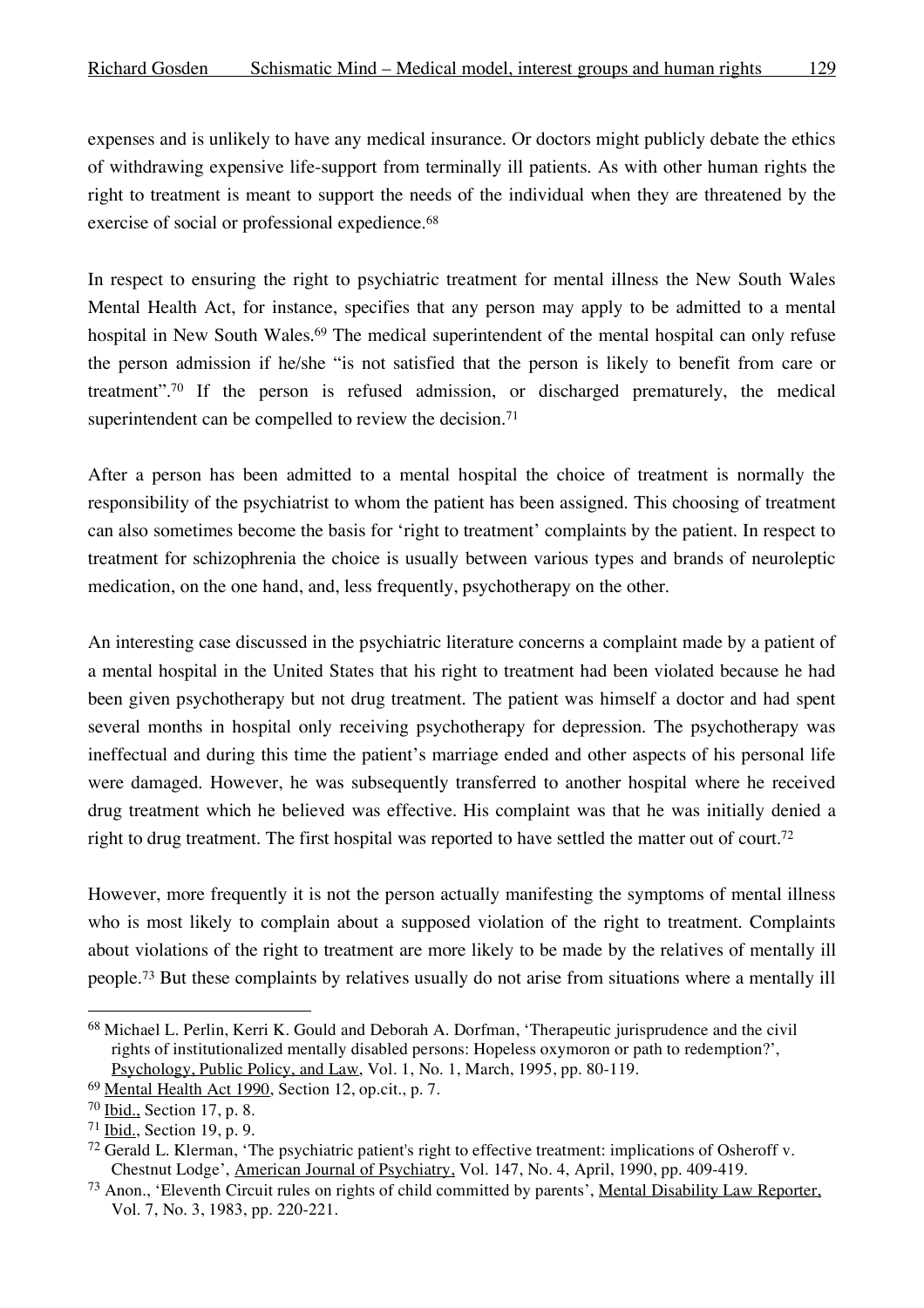expenses and is unlikely to have any medical insurance. Or doctors might publicly debate the ethics of withdrawing expensive life-support from terminally ill patients. As with other human rights the right to treatment is meant to support the needs of the individual when they are threatened by the exercise of social or professional expedience.<sup>68</sup>

In respect to ensuring the right to psychiatric treatment for mental illness the New South Wales Mental Health Act, for instance, specifies that any person may apply to be admitted to a mental hospital in New South Wales. <sup>69</sup> The medical superintendent of the mental hospital can only refuse the person admission if he/she "is not satisfied that the person is likely to benefit from care or treatment". <sup>70</sup> If the person is refused admission, or discharged prematurely, the medical superintendent can be compelled to review the decision.<sup>71</sup>

After a person has been admitted to a mental hospital the choice of treatment is normally the responsibility of the psychiatrist to whom the patient has been assigned. This choosing of treatment can also sometimes become the basis for 'right to treatment' complaints by the patient. In respect to treatment for schizophrenia the choice is usually between various types and brands of neuroleptic medication, on the one hand, and, less frequently, psychotherapy on the other.

An interesting case discussed in the psychiatric literature concerns a complaint made by a patient of a mental hospital in the United States that his right to treatment had been violated because he had been given psychotherapy but not drug treatment. The patient was himself a doctor and had spent several months in hospital only receiving psychotherapy for depression. The psychotherapy was ineffectual and during this time the patient's marriage ended and other aspects of his personal life were damaged. However, he was subsequently transferred to another hospital where he received drug treatment which he believed was effective. His complaint was that he was initially denied a right to drug treatment. The first hospital was reported to have settled the matter out of court. 72

However, more frequently it is not the person actually manifesting the symptoms of mental illness who is most likely to complain about a supposed violation of the right to treatment. Complaints about violations of the right to treatment are more likely to be made by the relatives of mentally ill people.73 But these complaints by relatives usually do not arise from situations where a mentally ill

 <sup>68</sup> Michael L. Perlin, Kerri K. Gould and Deborah A. Dorfman, 'Therapeutic jurisprudence and the civil rights of institutionalized mentally disabled persons: Hopeless oxymoron or path to redemption?', Psychology, Public Policy, and Law, Vol. 1, No. 1, March, 1995, pp. 80-119.

<sup>69</sup> Mental Health Act 1990, Section 12, op.cit., p. 7.

<sup>70</sup> Ibid., Section 17, p. 8.

<sup>71</sup> Ibid., Section 19, p. 9.

 $72$  Gerald L. Klerman, 'The psychiatric patient's right to effective treatment: implications of Osheroff v. Chestnut Lodge', American Journal of Psychiatry, Vol. 147, No. 4, April, 1990, pp. 409-419.

<sup>73</sup> Anon., 'Eleventh Circuit rules on rights of child committed by parents', Mental Disability Law Reporter, Vol. 7, No. 3, 1983, pp. 220-221.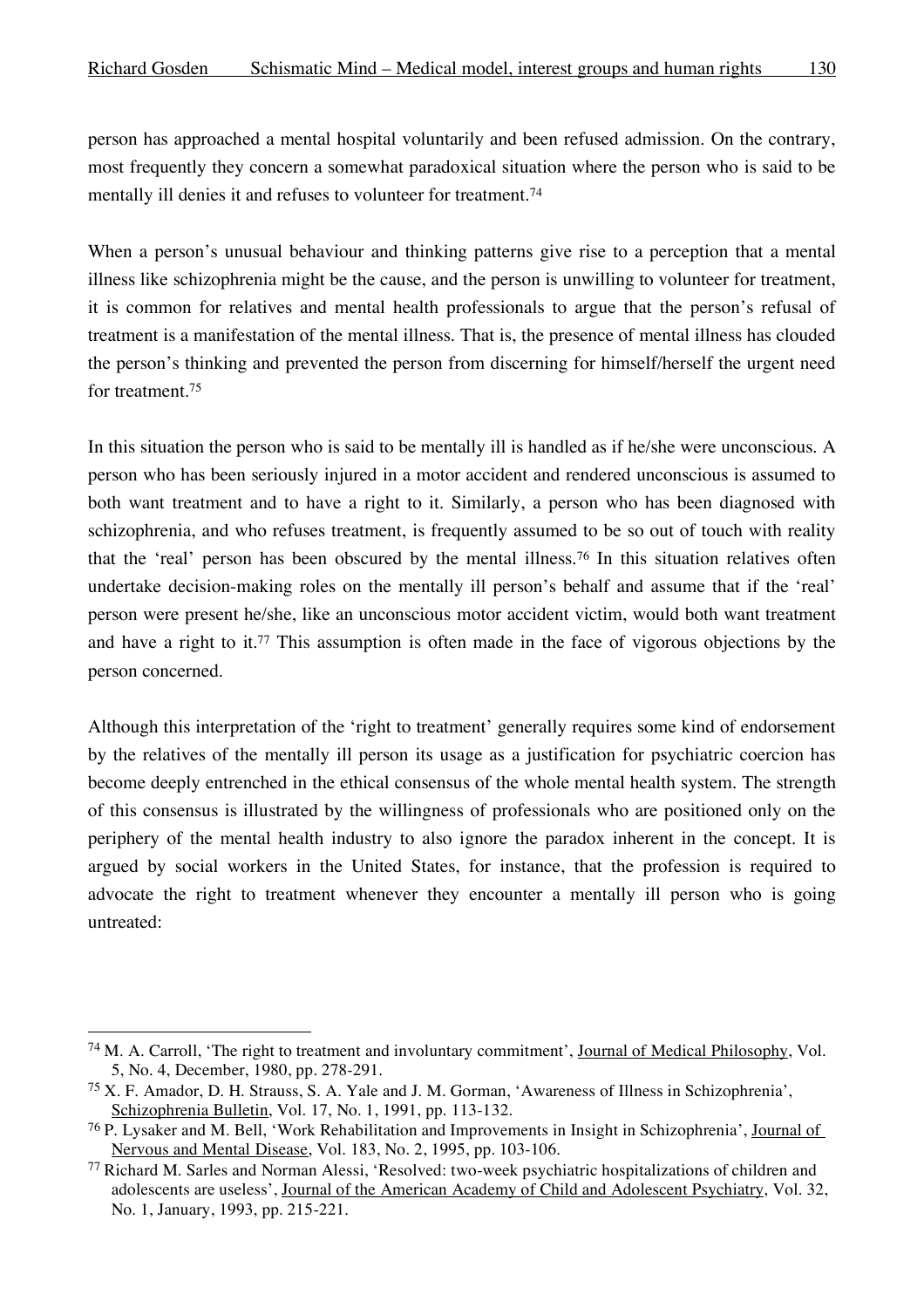person has approached a mental hospital voluntarily and been refused admission. On the contrary, most frequently they concern a somewhat paradoxical situation where the person who is said to be mentally ill denies it and refuses to volunteer for treatment.<sup>74</sup>

When a person's unusual behaviour and thinking patterns give rise to a perception that a mental illness like schizophrenia might be the cause, and the person is unwilling to volunteer for treatment, it is common for relatives and mental health professionals to argue that the person's refusal of treatment is a manifestation of the mental illness. That is, the presence of mental illness has clouded the person's thinking and prevented the person from discerning for himself/herself the urgent need for treatment. 75

In this situation the person who is said to be mentally ill is handled as if he/she were unconscious. A person who has been seriously injured in a motor accident and rendered unconscious is assumed to both want treatment and to have a right to it. Similarly, a person who has been diagnosed with schizophrenia, and who refuses treatment, is frequently assumed to be so out of touch with reality that the 'real' person has been obscured by the mental illness. <sup>76</sup> In this situation relatives often undertake decision-making roles on the mentally ill person's behalf and assume that if the 'real' person were present he/she, like an unconscious motor accident victim, would both want treatment and have a right to it. <sup>77</sup> This assumption is often made in the face of vigorous objections by the person concerned.

Although this interpretation of the 'right to treatment' generally requires some kind of endorsement by the relatives of the mentally ill person its usage as a justification for psychiatric coercion has become deeply entrenched in the ethical consensus of the whole mental health system. The strength of this consensus is illustrated by the willingness of professionals who are positioned only on the periphery of the mental health industry to also ignore the paradox inherent in the concept. It is argued by social workers in the United States, for instance, that the profession is required to advocate the right to treatment whenever they encounter a mentally ill person who is going untreated:

 <sup>74</sup> M. A. Carroll, 'The right to treatment and involuntary commitment', Journal of Medical Philosophy, Vol. 5, No. 4, December, 1980, pp. 278-291.

<sup>75</sup> X. F. Amador, D. H. Strauss, S. A. Yale and J. M. Gorman, 'Awareness of Illness in Schizophrenia', Schizophrenia Bulletin, Vol. 17, No. 1, 1991, pp. 113-132.

<sup>76</sup> P. Lysaker and M. Bell, 'Work Rehabilitation and Improvements in Insight in Schizophrenia', Journal of Nervous and Mental Disease, Vol. 183, No. 2, 1995, pp. 103-106.

<sup>77</sup> Richard M. Sarles and Norman Alessi, 'Resolved: two-week psychiatric hospitalizations of children and adolescents are useless', Journal of the American Academy of Child and Adolescent Psychiatry, Vol. 32, No. 1, January, 1993, pp. 215-221.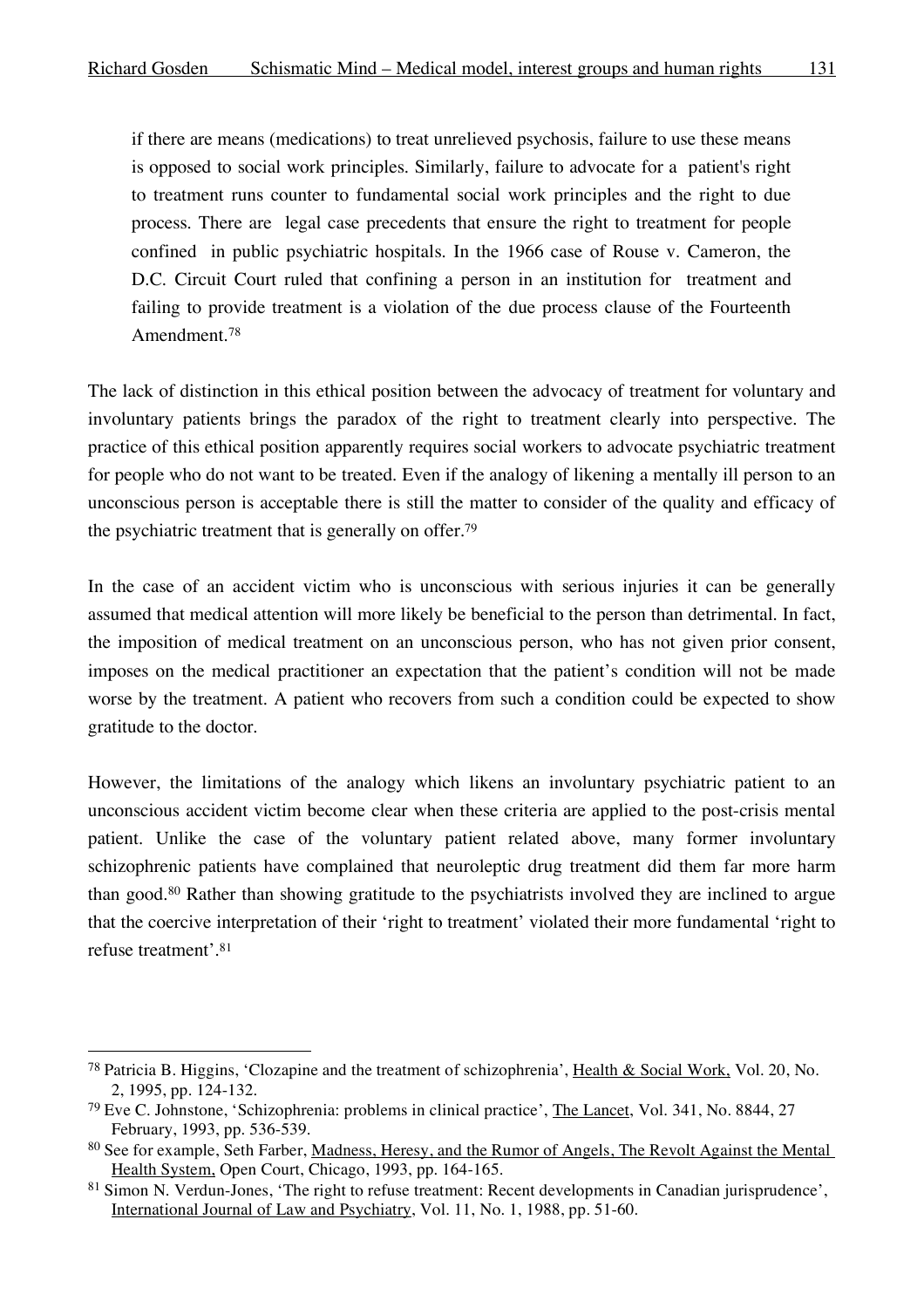if there are means (medications) to treat unrelieved psychosis, failure to use these means is opposed to social work principles. Similarly, failure to advocate for a patient's right to treatment runs counter to fundamental social work principles and the right to due process. There are legal case precedents that ensure the right to treatment for people confined in public psychiatric hospitals. In the 1966 case of Rouse v. Cameron, the D.C. Circuit Court ruled that confining a person in an institution for treatment and failing to provide treatment is a violation of the due process clause of the Fourteenth Amendment. 78

The lack of distinction in this ethical position between the advocacy of treatment for voluntary and involuntary patients brings the paradox of the right to treatment clearly into perspective. The practice of this ethical position apparently requires social workers to advocate psychiatric treatment for people who do not want to be treated. Even if the analogy of likening a mentally ill person to an unconscious person is acceptable there is still the matter to consider of the quality and efficacy of the psychiatric treatment that is generally on offer. 79

In the case of an accident victim who is unconscious with serious injuries it can be generally assumed that medical attention will more likely be beneficial to the person than detrimental. In fact, the imposition of medical treatment on an unconscious person, who has not given prior consent, imposes on the medical practitioner an expectation that the patient's condition will not be made worse by the treatment. A patient who recovers from such a condition could be expected to show gratitude to the doctor.

However, the limitations of the analogy which likens an involuntary psychiatric patient to an unconscious accident victim become clear when these criteria are applied to the post-crisis mental patient. Unlike the case of the voluntary patient related above, many former involuntary schizophrenic patients have complained that neuroleptic drug treatment did them far more harm than good.80 Rather than showing gratitude to the psychiatrists involved they are inclined to argue that the coercive interpretation of their 'right to treatment' violated their more fundamental 'right to refuse treatment'. 81

<sup>&</sup>lt;sup>78</sup> Patricia B. Higgins, 'Clozapine and the treatment of schizophrenia', Health & Social Work, Vol. 20, No. 2, 1995, pp. 124-132.

<sup>79</sup> Eve C. Johnstone, 'Schizophrenia: problems in clinical practice', The Lancet, Vol. 341, No. 8844, 27 February, 1993, pp. 536-539.

<sup>&</sup>lt;sup>80</sup> See for example, Seth Farber, Madness, Heresy, and the Rumor of Angels, The Revolt Against the Mental Health System, Open Court, Chicago, 1993, pp. 164-165.

<sup>81</sup> Simon N. Verdun-Jones, 'The right to refuse treatment: Recent developments in Canadian jurisprudence', International Journal of Law and Psychiatry, Vol. 11, No. 1, 1988, pp. 51-60.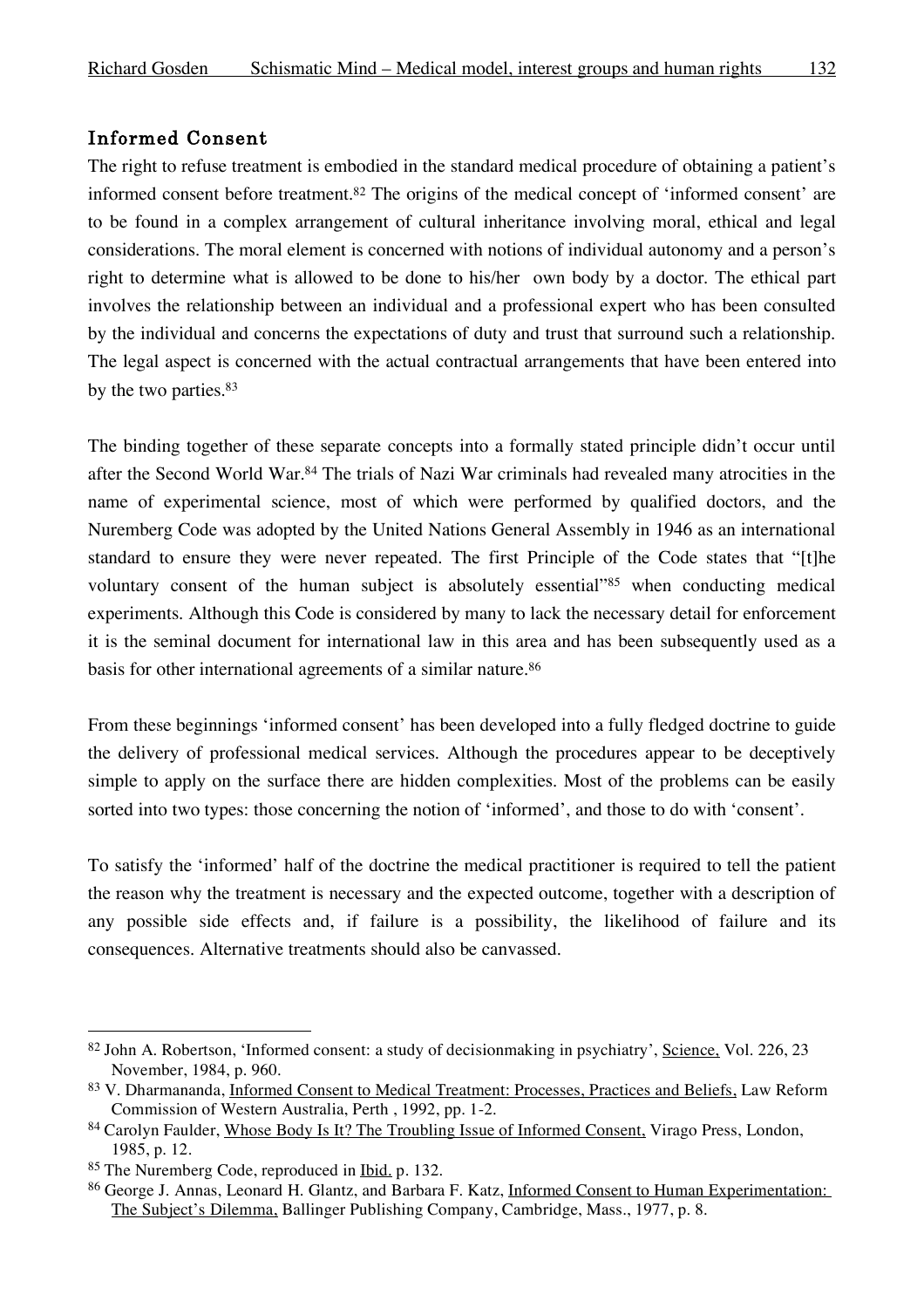# Informed Consent

The right to refuse treatment is embodied in the standard medical procedure of obtaining a patient's informed consent before treatment. <sup>82</sup> The origins of the medical concept of 'informed consent' are to be found in a complex arrangement of cultural inheritance involving moral, ethical and legal considerations. The moral element is concerned with notions of individual autonomy and a person's right to determine what is allowed to be done to his/her own body by a doctor. The ethical part involves the relationship between an individual and a professional expert who has been consulted by the individual and concerns the expectations of duty and trust that surround such a relationship. The legal aspect is concerned with the actual contractual arrangements that have been entered into by the two parties. 83

The binding together of these separate concepts into a formally stated principle didn't occur until after the Second World War. <sup>84</sup> The trials of Nazi War criminals had revealed many atrocities in the name of experimental science, most of which were performed by qualified doctors, and the Nuremberg Code was adopted by the United Nations General Assembly in 1946 as an international standard to ensure they were never repeated. The first Principle of the Code states that "[t]he voluntary consent of the human subject is absolutely essential"85 when conducting medical experiments. Although this Code is considered by many to lack the necessary detail for enforcement it is the seminal document for international law in this area and has been subsequently used as a basis for other international agreements of a similar nature. 86

From these beginnings 'informed consent' has been developed into a fully fledged doctrine to guide the delivery of professional medical services. Although the procedures appear to be deceptively simple to apply on the surface there are hidden complexities. Most of the problems can be easily sorted into two types: those concerning the notion of 'informed', and those to do with 'consent'.

To satisfy the 'informed' half of the doctrine the medical practitioner is required to tell the patient the reason why the treatment is necessary and the expected outcome, together with a description of any possible side effects and, if failure is a possibility, the likelihood of failure and its consequences. Alternative treatments should also be canvassed.

<sup>82</sup> John A. Robertson, 'Informed consent: a study of decisionmaking in psychiatry', Science, Vol. 226, 23 November, 1984, p. 960.

<sup>83</sup> V. Dharmananda, Informed Consent to Medical Treatment: Processes, Practices and Beliefs, Law Reform Commission of Western Australia, Perth , 1992, pp. 1-2.

<sup>84</sup> Carolyn Faulder, Whose Body Is It? The Troubling Issue of Informed Consent, Virago Press, London, 1985, p. 12.

<sup>85</sup> The Nuremberg Code, reproduced in Ibid. p. 132.

<sup>86</sup> George J. Annas, Leonard H. Glantz, and Barbara F. Katz, Informed Consent to Human Experimentation: The Subject's Dilemma, Ballinger Publishing Company, Cambridge, Mass., 1977, p. 8.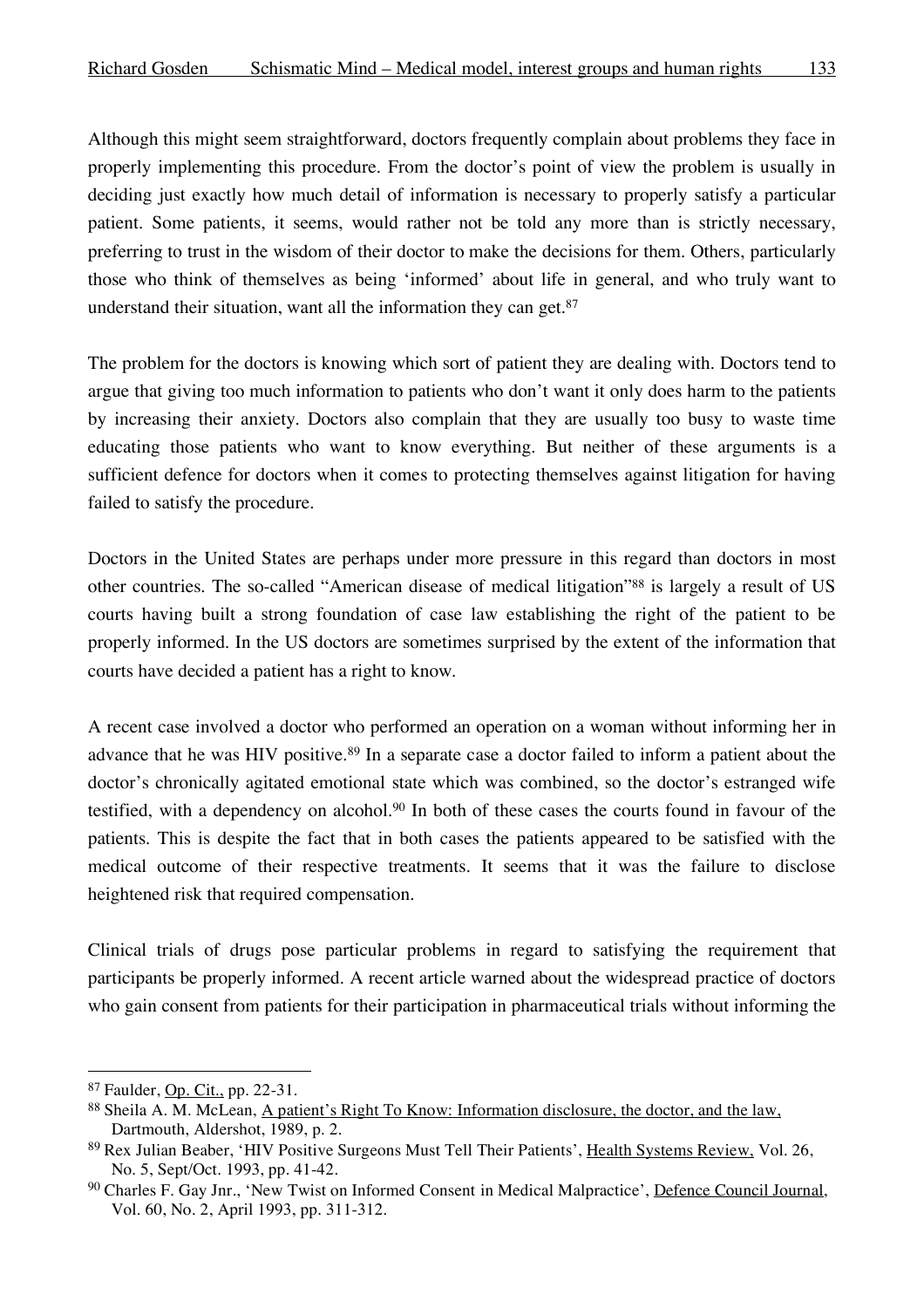Although this might seem straightforward, doctors frequently complain about problems they face in properly implementing this procedure. From the doctor's point of view the problem is usually in deciding just exactly how much detail of information is necessary to properly satisfy a particular patient. Some patients, it seems, would rather not be told any more than is strictly necessary, preferring to trust in the wisdom of their doctor to make the decisions for them. Others, particularly those who think of themselves as being 'informed' about life in general, and who truly want to understand their situation, want all the information they can get.<sup>87</sup>

The problem for the doctors is knowing which sort of patient they are dealing with. Doctors tend to argue that giving too much information to patients who don't want it only does harm to the patients by increasing their anxiety. Doctors also complain that they are usually too busy to waste time educating those patients who want to know everything. But neither of these arguments is a sufficient defence for doctors when it comes to protecting themselves against litigation for having failed to satisfy the procedure.

Doctors in the United States are perhaps under more pressure in this regard than doctors in most other countries. The so-called "American disease of medical litigation"88 is largely a result of US courts having built a strong foundation of case law establishing the right of the patient to be properly informed. In the US doctors are sometimes surprised by the extent of the information that courts have decided a patient has a right to know.

A recent case involved a doctor who performed an operation on a woman without informing her in advance that he was HIV positive.<sup>89</sup> In a separate case a doctor failed to inform a patient about the doctor's chronically agitated emotional state which was combined, so the doctor's estranged wife testified, with a dependency on alcohol.90 In both of these cases the courts found in favour of the patients. This is despite the fact that in both cases the patients appeared to be satisfied with the medical outcome of their respective treatments. It seems that it was the failure to disclose heightened risk that required compensation.

Clinical trials of drugs pose particular problems in regard to satisfying the requirement that participants be properly informed. A recent article warned about the widespread practice of doctors who gain consent from patients for their participation in pharmaceutical trials without informing the

 <sup>87</sup> Faulder, Op. Cit., pp. 22-31.

<sup>88</sup> Sheila A. M. McLean, A patient's Right To Know: Information disclosure, the doctor, and the law, Dartmouth, Aldershot, 1989, p. 2.

<sup>89</sup> Rex Julian Beaber, 'HIV Positive Surgeons Must Tell Their Patients', Health Systems Review, Vol. 26, No. 5, Sept/Oct. 1993, pp. 41-42.

<sup>&</sup>lt;sup>90</sup> Charles F. Gay Jnr., 'New Twist on Informed Consent in Medical Malpractice', Defence Council Journal, Vol. 60, No. 2, April 1993, pp. 311-312.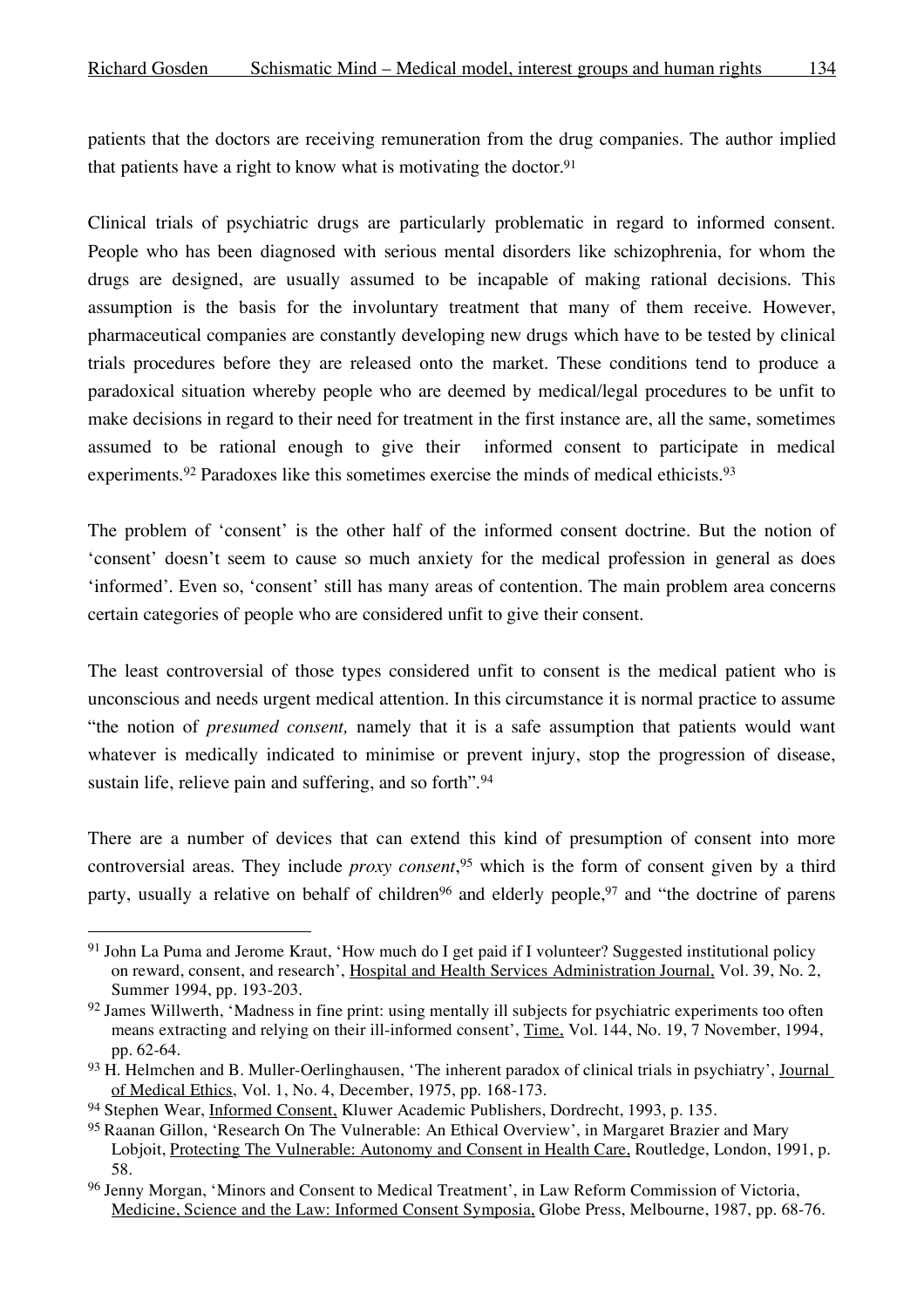patients that the doctors are receiving remuneration from the drug companies. The author implied that patients have a right to know what is motivating the doctor.<sup>91</sup>

Clinical trials of psychiatric drugs are particularly problematic in regard to informed consent. People who has been diagnosed with serious mental disorders like schizophrenia, for whom the drugs are designed, are usually assumed to be incapable of making rational decisions. This assumption is the basis for the involuntary treatment that many of them receive. However, pharmaceutical companies are constantly developing new drugs which have to be tested by clinical trials procedures before they are released onto the market. These conditions tend to produce a paradoxical situation whereby people who are deemed by medical/legal procedures to be unfit to make decisions in regard to their need for treatment in the first instance are, all the same, sometimes assumed to be rational enough to give their informed consent to participate in medical experiments.<sup>92</sup> Paradoxes like this sometimes exercise the minds of medical ethicists.<sup>93</sup>

The problem of 'consent' is the other half of the informed consent doctrine. But the notion of 'consent' doesn't seem to cause so much anxiety for the medical profession in general as does 'informed'. Even so, 'consent' still has many areas of contention. The main problem area concerns certain categories of people who are considered unfit to give their consent.

The least controversial of those types considered unfit to consent is the medical patient who is unconscious and needs urgent medical attention. In this circumstance it is normal practice to assume "the notion of *presumed consent,* namely that it is a safe assumption that patients would want whatever is medically indicated to minimise or prevent injury, stop the progression of disease, sustain life, relieve pain and suffering, and so forth".94

There are a number of devices that can extend this kind of presumption of consent into more controversial areas. They include *proxy consent*, <sup>95</sup> which is the form of consent given by a third party, usually a relative on behalf of children<sup>96</sup> and elderly people, <sup>97</sup> and "the doctrine of parens

<sup>&</sup>lt;sup>91</sup> John La Puma and Jerome Kraut, 'How much do I get paid if I volunteer? Suggested institutional policy on reward, consent, and research', Hospital and Health Services Administration Journal, Vol. 39, No. 2, Summer 1994, pp. 193-203.

<sup>92</sup> James Willwerth, 'Madness in fine print: using mentally ill subjects for psychiatric experiments too often means extracting and relying on their ill-informed consent', Time, Vol. 144, No. 19, 7 November, 1994, pp. 62-64.

<sup>93</sup> H. Helmchen and B. Muller-Oerlinghausen, 'The inherent paradox of clinical trials in psychiatry', <u>Journal</u> of Medical Ethics, Vol. 1, No. 4, December, 1975, pp. 168-173.

<sup>94</sup> Stephen Wear, Informed Consent, Kluwer Academic Publishers, Dordrecht, 1993, p. 135.

<sup>95</sup> Raanan Gillon, 'Research On The Vulnerable: An Ethical Overview', in Margaret Brazier and Mary Lobjoit, Protecting The Vulnerable: Autonomy and Consent in Health Care, Routledge, London, 1991, p. 58.

<sup>96</sup> Jenny Morgan, 'Minors and Consent to Medical Treatment', in Law Reform Commission of Victoria, Medicine, Science and the Law: Informed Consent Symposia, Globe Press, Melbourne, 1987, pp. 68-76.